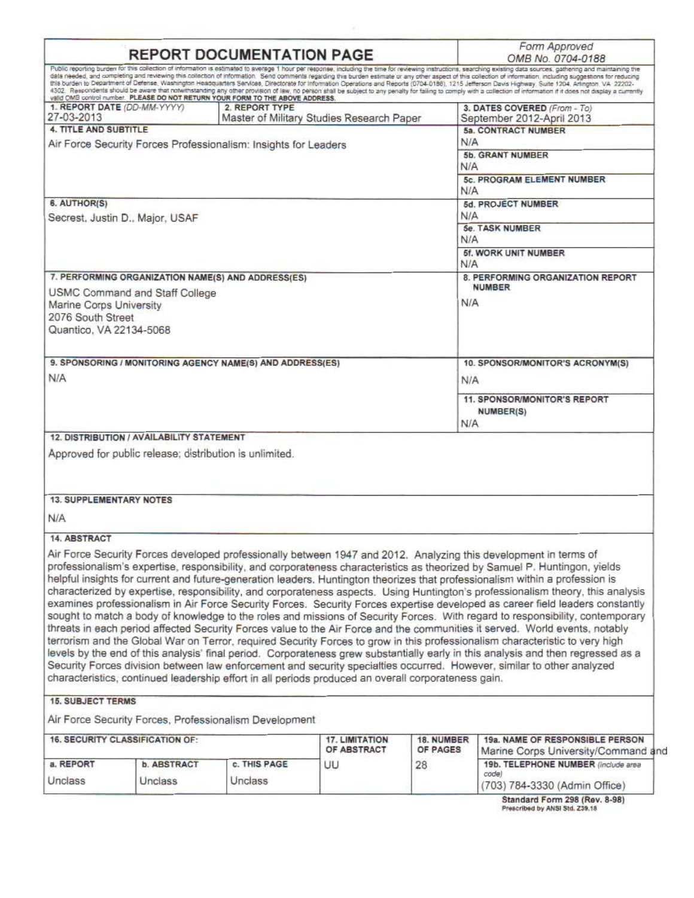|                                                         |                               | <b>REPORT DOCUMENTATION PAGE</b>                                                                    |                       |            | Form Approved<br>OMB No. 0704-0188                                                                                                                                                                                                                                                                                                                                                                                                                                                                                                                                                                                                                                                                                                                                                                                                                                                                                                                                                                                                                                                                                                                                                                                                                                                                                |
|---------------------------------------------------------|-------------------------------|-----------------------------------------------------------------------------------------------------|-----------------------|------------|-------------------------------------------------------------------------------------------------------------------------------------------------------------------------------------------------------------------------------------------------------------------------------------------------------------------------------------------------------------------------------------------------------------------------------------------------------------------------------------------------------------------------------------------------------------------------------------------------------------------------------------------------------------------------------------------------------------------------------------------------------------------------------------------------------------------------------------------------------------------------------------------------------------------------------------------------------------------------------------------------------------------------------------------------------------------------------------------------------------------------------------------------------------------------------------------------------------------------------------------------------------------------------------------------------------------|
|                                                         |                               | valid CMB control number. PLEASE DO NOT RETURN YOUR FORM TO THE ABOVE ADDRESS.                      |                       |            | Public reporting burden for this collection of information is estimated to average 1 hour per response, including the time for reviewing instructions, searching existing data sources, gathering and maintaining the<br>data needed, and completing and reviewing this collection of information. Send comments regarding this burden estimate or any other aspect of this collection of information, including suggestions for reducing<br>this burden to Department of Defense, Washington Headquarters Services, Directorate for Information Operations and Reports (0704-0188), 1215 Jefferson Davis Highway, Suite 1204, Arlington, VA 22202-<br>4302. Respondents should be aware that notwithstanding any other provision of law, no person shall be subject to any penalty for failing to comply with a collection of information if it does not display a currently                                                                                                                                                                                                                                                                                                                                                                                                                                     |
| 1. REPORT DATE (DD-MM-YYYY)<br>27-03-2013               |                               | 2. REPORT TYPE<br>Master of Military Studies Research Paper                                         |                       |            | 3. DATES COVERED (From - To)<br>September 2012-April 2013                                                                                                                                                                                                                                                                                                                                                                                                                                                                                                                                                                                                                                                                                                                                                                                                                                                                                                                                                                                                                                                                                                                                                                                                                                                         |
| <b>4. TITLE AND SUBTITLE</b>                            |                               |                                                                                                     |                       |            | 5a. CONTRACT NUMBER                                                                                                                                                                                                                                                                                                                                                                                                                                                                                                                                                                                                                                                                                                                                                                                                                                                                                                                                                                                                                                                                                                                                                                                                                                                                                               |
|                                                         |                               | Air Force Security Forces Professionalism: Insights for Leaders                                     |                       | N/A        | 5b. GRANT NUMBER                                                                                                                                                                                                                                                                                                                                                                                                                                                                                                                                                                                                                                                                                                                                                                                                                                                                                                                                                                                                                                                                                                                                                                                                                                                                                                  |
|                                                         |                               |                                                                                                     |                       | <b>N/A</b> |                                                                                                                                                                                                                                                                                                                                                                                                                                                                                                                                                                                                                                                                                                                                                                                                                                                                                                                                                                                                                                                                                                                                                                                                                                                                                                                   |
|                                                         |                               |                                                                                                     |                       | N/A        | 5c. PROGRAM ELEMENT NUMBER                                                                                                                                                                                                                                                                                                                                                                                                                                                                                                                                                                                                                                                                                                                                                                                                                                                                                                                                                                                                                                                                                                                                                                                                                                                                                        |
| 6. AUTHOR(S)                                            |                               |                                                                                                     |                       |            | 5d. PROJECT NUMBER                                                                                                                                                                                                                                                                                                                                                                                                                                                                                                                                                                                                                                                                                                                                                                                                                                                                                                                                                                                                                                                                                                                                                                                                                                                                                                |
|                                                         |                               |                                                                                                     |                       | N/A        |                                                                                                                                                                                                                                                                                                                                                                                                                                                                                                                                                                                                                                                                                                                                                                                                                                                                                                                                                                                                                                                                                                                                                                                                                                                                                                                   |
| Secrest, Justin D., Major, USAF                         |                               |                                                                                                     |                       |            | <b>5e. TASK NUMBER</b><br>N/A                                                                                                                                                                                                                                                                                                                                                                                                                                                                                                                                                                                                                                                                                                                                                                                                                                                                                                                                                                                                                                                                                                                                                                                                                                                                                     |
|                                                         |                               |                                                                                                     |                       | N/A        | 5f. WORK UNIT NUMBER                                                                                                                                                                                                                                                                                                                                                                                                                                                                                                                                                                                                                                                                                                                                                                                                                                                                                                                                                                                                                                                                                                                                                                                                                                                                                              |
|                                                         |                               | 7. PERFORMING ORGANIZATION NAME(S) AND ADDRESS(ES)                                                  |                       |            | 8. PERFORMING ORGANIZATION REPORT                                                                                                                                                                                                                                                                                                                                                                                                                                                                                                                                                                                                                                                                                                                                                                                                                                                                                                                                                                                                                                                                                                                                                                                                                                                                                 |
| USMC Command and Staff College                          |                               |                                                                                                     |                       |            | <b>NUMBER</b>                                                                                                                                                                                                                                                                                                                                                                                                                                                                                                                                                                                                                                                                                                                                                                                                                                                                                                                                                                                                                                                                                                                                                                                                                                                                                                     |
| Marine Corps University                                 |                               |                                                                                                     |                       | N/A        |                                                                                                                                                                                                                                                                                                                                                                                                                                                                                                                                                                                                                                                                                                                                                                                                                                                                                                                                                                                                                                                                                                                                                                                                                                                                                                                   |
| 2076 South Street                                       |                               |                                                                                                     |                       |            |                                                                                                                                                                                                                                                                                                                                                                                                                                                                                                                                                                                                                                                                                                                                                                                                                                                                                                                                                                                                                                                                                                                                                                                                                                                                                                                   |
| Quantico, VA 22134-5068                                 |                               |                                                                                                     |                       |            |                                                                                                                                                                                                                                                                                                                                                                                                                                                                                                                                                                                                                                                                                                                                                                                                                                                                                                                                                                                                                                                                                                                                                                                                                                                                                                                   |
|                                                         |                               | 9. SPONSORING / MONITORING AGENCY NAME(S) AND ADDRESS(ES)                                           |                       |            | 10. SPONSOR/MONITOR'S ACRONYM(S)                                                                                                                                                                                                                                                                                                                                                                                                                                                                                                                                                                                                                                                                                                                                                                                                                                                                                                                                                                                                                                                                                                                                                                                                                                                                                  |
| N/A                                                     |                               |                                                                                                     |                       | N/A        |                                                                                                                                                                                                                                                                                                                                                                                                                                                                                                                                                                                                                                                                                                                                                                                                                                                                                                                                                                                                                                                                                                                                                                                                                                                                                                                   |
|                                                         |                               |                                                                                                     |                       |            |                                                                                                                                                                                                                                                                                                                                                                                                                                                                                                                                                                                                                                                                                                                                                                                                                                                                                                                                                                                                                                                                                                                                                                                                                                                                                                                   |
|                                                         |                               |                                                                                                     |                       |            |                                                                                                                                                                                                                                                                                                                                                                                                                                                                                                                                                                                                                                                                                                                                                                                                                                                                                                                                                                                                                                                                                                                                                                                                                                                                                                                   |
|                                                         |                               |                                                                                                     |                       |            | 11. SPONSOR/MONITOR'S REPORT<br>NUMBER(S)                                                                                                                                                                                                                                                                                                                                                                                                                                                                                                                                                                                                                                                                                                                                                                                                                                                                                                                                                                                                                                                                                                                                                                                                                                                                         |
| <b>12. DISTRIBUTION / AVAILABILITY STATEMENT</b>        |                               |                                                                                                     |                       | <b>N/A</b> |                                                                                                                                                                                                                                                                                                                                                                                                                                                                                                                                                                                                                                                                                                                                                                                                                                                                                                                                                                                                                                                                                                                                                                                                                                                                                                                   |
| Approved for public release; distribution is unlimited. |                               |                                                                                                     |                       |            |                                                                                                                                                                                                                                                                                                                                                                                                                                                                                                                                                                                                                                                                                                                                                                                                                                                                                                                                                                                                                                                                                                                                                                                                                                                                                                                   |
| <b>13. SUPPLEMENTARY NOTES</b>                          |                               |                                                                                                     |                       |            |                                                                                                                                                                                                                                                                                                                                                                                                                                                                                                                                                                                                                                                                                                                                                                                                                                                                                                                                                                                                                                                                                                                                                                                                                                                                                                                   |
| N/A                                                     |                               |                                                                                                     |                       |            |                                                                                                                                                                                                                                                                                                                                                                                                                                                                                                                                                                                                                                                                                                                                                                                                                                                                                                                                                                                                                                                                                                                                                                                                                                                                                                                   |
| <b>14. ABSTRACT</b>                                     |                               |                                                                                                     |                       |            |                                                                                                                                                                                                                                                                                                                                                                                                                                                                                                                                                                                                                                                                                                                                                                                                                                                                                                                                                                                                                                                                                                                                                                                                                                                                                                                   |
|                                                         |                               | characteristics, continued leadership effort in all periods produced an overall corporateness gain. |                       |            | Air Force Security Forces developed professionally between 1947 and 2012. Analyzing this development in terms of<br>professionalism's expertise, responsibility, and corporateness characteristics as theorized by Samuel P. Huntingon, yields<br>helpful insights for current and future-generation leaders. Huntington theorizes that professionalism within a profession is<br>characterized by expertise, responsibility, and corporateness aspects. Using Huntington's professionalism theory, this analysis<br>examines professionalism in Air Force Security Forces. Security Forces expertise developed as career field leaders constantly<br>sought to match a body of knowledge to the roles and missions of Security Forces. With regard to responsibility, contemporary<br>threats in each period affected Security Forces value to the Air Force and the communities it served. World events, notably<br>terrorism and the Global War on Terror, required Security Forces to grow in this professionalism characteristic to very high<br>levels by the end of this analysis' final period. Corporateness grew substantially early in this analysis and then regressed as a<br>Security Forces division between law enforcement and security specialties occurred. However, similar to other analyzed |
| <b>15. SUBJECT TERMS</b>                                |                               |                                                                                                     |                       |            |                                                                                                                                                                                                                                                                                                                                                                                                                                                                                                                                                                                                                                                                                                                                                                                                                                                                                                                                                                                                                                                                                                                                                                                                                                                                                                                   |
|                                                         |                               | Air Force Security Forces, Professionalism Development                                              |                       |            |                                                                                                                                                                                                                                                                                                                                                                                                                                                                                                                                                                                                                                                                                                                                                                                                                                                                                                                                                                                                                                                                                                                                                                                                                                                                                                                   |
| <b>16. SECURITY CLASSIFICATION OF:</b>                  |                               |                                                                                                     | <b>17. LIMITATION</b> | 18. NUMBER | 19a. NAME OF RESPONSIBLE PERSON                                                                                                                                                                                                                                                                                                                                                                                                                                                                                                                                                                                                                                                                                                                                                                                                                                                                                                                                                                                                                                                                                                                                                                                                                                                                                   |
|                                                         |                               |                                                                                                     | OF ABSTRACT           | OF PAGES   |                                                                                                                                                                                                                                                                                                                                                                                                                                                                                                                                                                                                                                                                                                                                                                                                                                                                                                                                                                                                                                                                                                                                                                                                                                                                                                                   |
| a. REPORT<br>Unclass                                    | <b>b. ABSTRACT</b><br>Unclass | c. THIS PAGE<br>Unclass                                                                             | UU                    | 28         | Marine Corps University/Command and<br>19b. TELEPHONE NUMBER (include area<br>code)<br>(703) 784-3330 (Admin Office)                                                                                                                                                                                                                                                                                                                                                                                                                                                                                                                                                                                                                                                                                                                                                                                                                                                                                                                                                                                                                                                                                                                                                                                              |

Prescribed by ANSI Std. Z39,18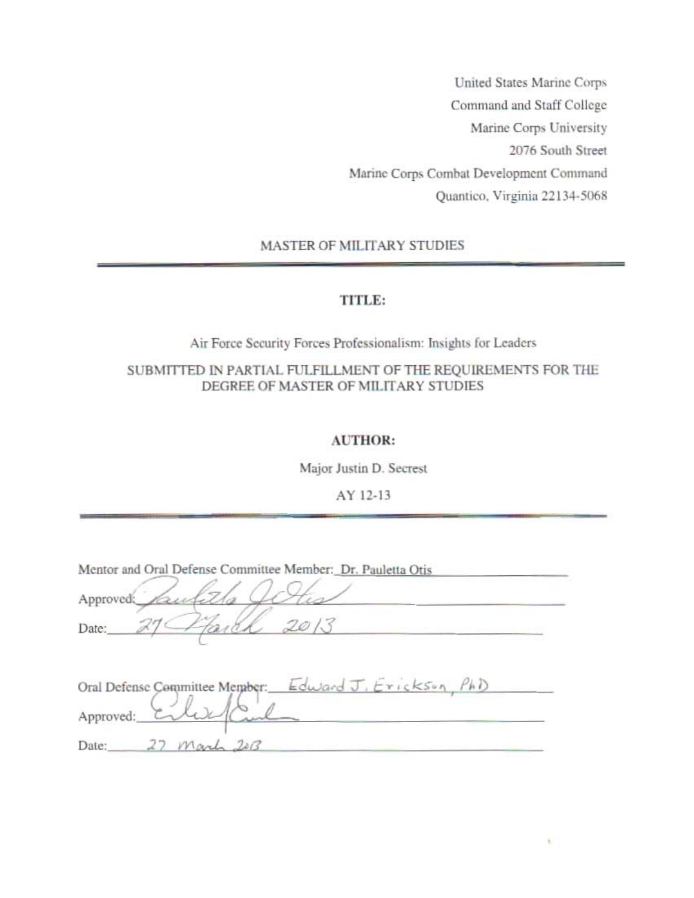United States Marine Corps Command and Staff College Marine Corps University 2076 South Street Marine Corps Combat Development Command Quantico. Virginia 22134-5068

MASTER OF MILITARY STUDIES

# TITLE:

Air Force Security Forces Professionalism: Insights for Leaders

# SUBMITTED IN PARTIAL FULFILLMENT OF THE REQUIREMENTS FOR THE DEGREE OF MASTER OF MILITARY STUDIES

# AUTHOR:

Major Justin D. Secrest

AY 12-13

| Approved: | Mentor and Oral Defense Committee Member: Dr. Pauletta Otis |
|-----------|-------------------------------------------------------------|
| Date:     |                                                             |
|           |                                                             |
|           | Oral Defense Committee Member: Edward J. Erickson, PhD      |
| Approved: |                                                             |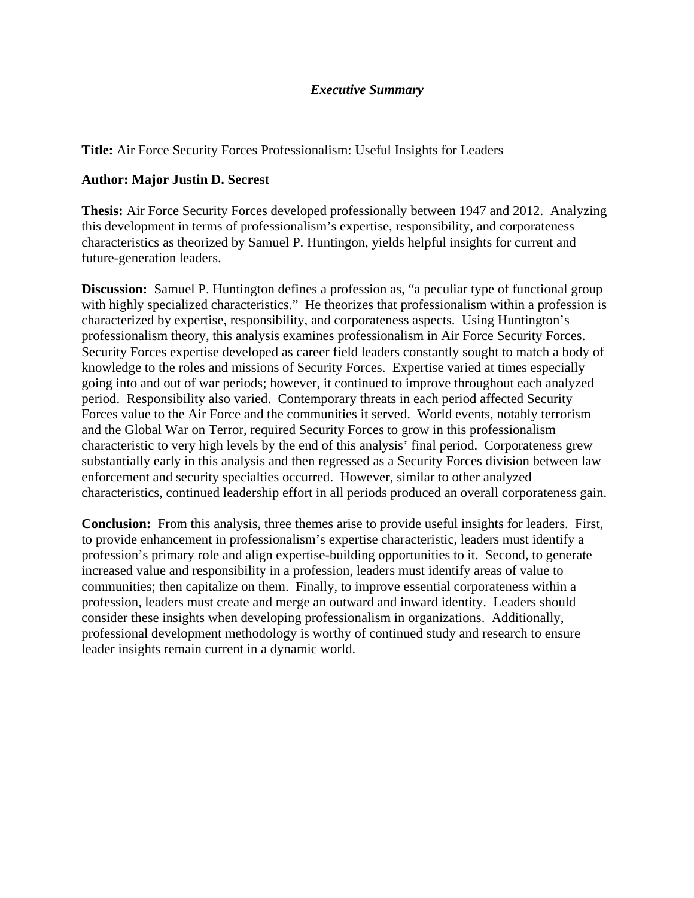# *Executive Summary*

**Title:** Air Force Security Forces Professionalism: Useful Insights for Leaders

# **Author: Major Justin D. Secrest**

**Thesis:** Air Force Security Forces developed professionally between 1947 and 2012. Analyzing this development in terms of professionalism's expertise, responsibility, and corporateness characteristics as theorized by Samuel P. Huntingon, yields helpful insights for current and future-generation leaders.

**Discussion:** Samuel P. Huntington defines a profession as, "a peculiar type of functional group with highly specialized characteristics." He theorizes that professionalism within a profession is characterized by expertise, responsibility, and corporateness aspects. Using Huntington's professionalism theory, this analysis examines professionalism in Air Force Security Forces. Security Forces expertise developed as career field leaders constantly sought to match a body of knowledge to the roles and missions of Security Forces. Expertise varied at times especially going into and out of war periods; however, it continued to improve throughout each analyzed period. Responsibility also varied. Contemporary threats in each period affected Security Forces value to the Air Force and the communities it served. World events, notably terrorism and the Global War on Terror, required Security Forces to grow in this professionalism characteristic to very high levels by the end of this analysis' final period. Corporateness grew substantially early in this analysis and then regressed as a Security Forces division between law enforcement and security specialties occurred. However, similar to other analyzed characteristics, continued leadership effort in all periods produced an overall corporateness gain.

**Conclusion:** From this analysis, three themes arise to provide useful insights for leaders. First, to provide enhancement in professionalism's expertise characteristic, leaders must identify a profession's primary role and align expertise-building opportunities to it. Second, to generate increased value and responsibility in a profession, leaders must identify areas of value to communities; then capitalize on them. Finally, to improve essential corporateness within a profession, leaders must create and merge an outward and inward identity. Leaders should consider these insights when developing professionalism in organizations. Additionally, professional development methodology is worthy of continued study and research to ensure leader insights remain current in a dynamic world.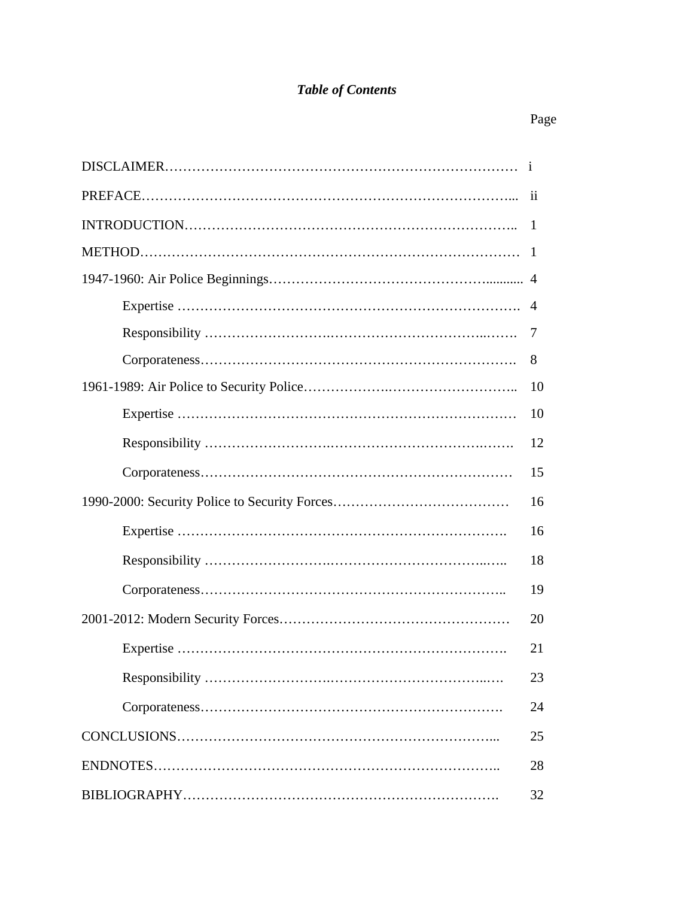# *Table of Contents*

# Page

|  | -11 |  |  |  |
|--|-----|--|--|--|
|  | -1  |  |  |  |
|  | -1  |  |  |  |
|  |     |  |  |  |
|  | 4   |  |  |  |
|  | 7   |  |  |  |
|  | 8   |  |  |  |
|  | 10  |  |  |  |
|  | 10  |  |  |  |
|  | 12  |  |  |  |
|  | 15  |  |  |  |
|  | 16  |  |  |  |
|  | 16  |  |  |  |
|  | 18  |  |  |  |
|  | 19  |  |  |  |
|  | 20  |  |  |  |
|  | 21  |  |  |  |
|  | 23  |  |  |  |
|  | 24  |  |  |  |
|  | 25  |  |  |  |
|  | 28  |  |  |  |
|  |     |  |  |  |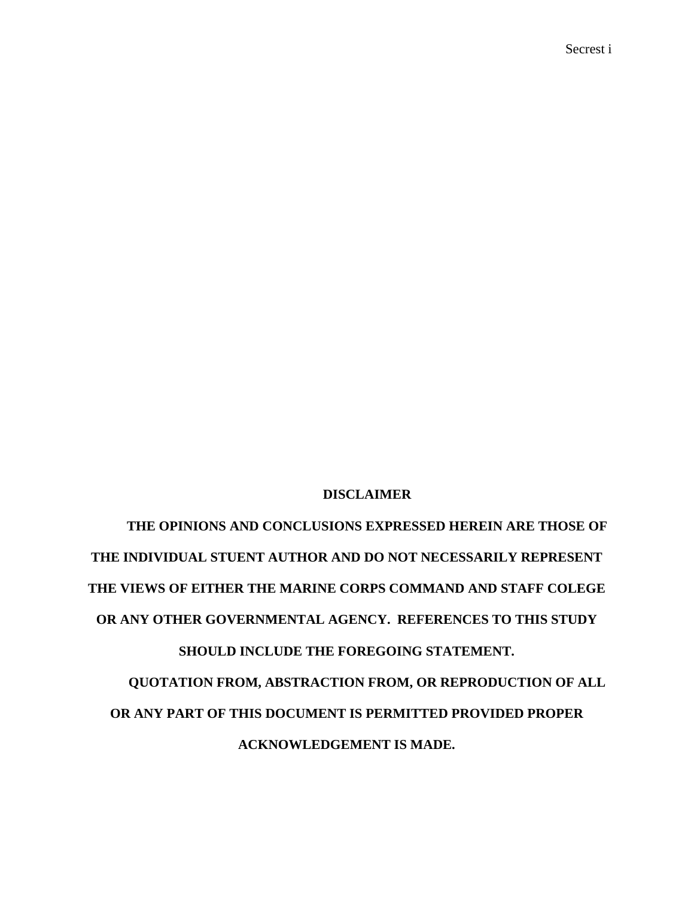Secrest i

# **DISCLAIMER**

**THE OPINIONS AND CONCLUSIONS EXPRESSED HEREIN ARE THOSE OF THE INDIVIDUAL STUENT AUTHOR AND DO NOT NECESSARILY REPRESENT THE VIEWS OF EITHER THE MARINE CORPS COMMAND AND STAFF COLEGE OR ANY OTHER GOVERNMENTAL AGENCY. REFERENCES TO THIS STUDY SHOULD INCLUDE THE FOREGOING STATEMENT. QUOTATION FROM, ABSTRACTION FROM, OR REPRODUCTION OF ALL OR ANY PART OF THIS DOCUMENT IS PERMITTED PROVIDED PROPER ACKNOWLEDGEMENT IS MADE.**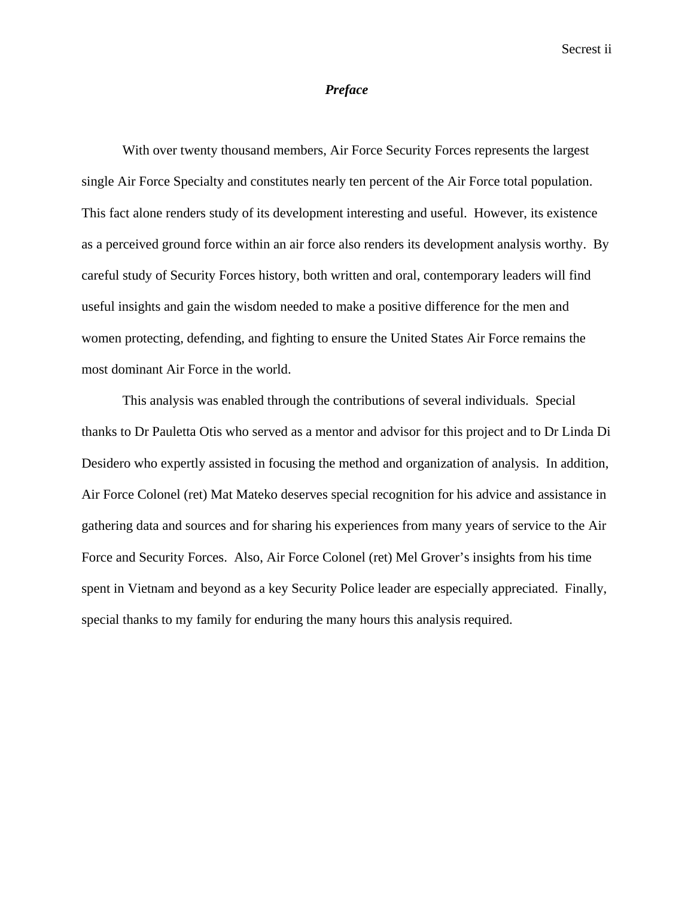#### *Preface*

With over twenty thousand members, Air Force Security Forces represents the largest single Air Force Specialty and constitutes nearly ten percent of the Air Force total population. This fact alone renders study of its development interesting and useful. However, its existence as a perceived ground force within an air force also renders its development analysis worthy. By careful study of Security Forces history, both written and oral, contemporary leaders will find useful insights and gain the wisdom needed to make a positive difference for the men and women protecting, defending, and fighting to ensure the United States Air Force remains the most dominant Air Force in the world.

This analysis was enabled through the contributions of several individuals. Special thanks to Dr Pauletta Otis who served as a mentor and advisor for this project and to Dr Linda Di Desidero who expertly assisted in focusing the method and organization of analysis. In addition, Air Force Colonel (ret) Mat Mateko deserves special recognition for his advice and assistance in gathering data and sources and for sharing his experiences from many years of service to the Air Force and Security Forces. Also, Air Force Colonel (ret) Mel Grover's insights from his time spent in Vietnam and beyond as a key Security Police leader are especially appreciated. Finally, special thanks to my family for enduring the many hours this analysis required.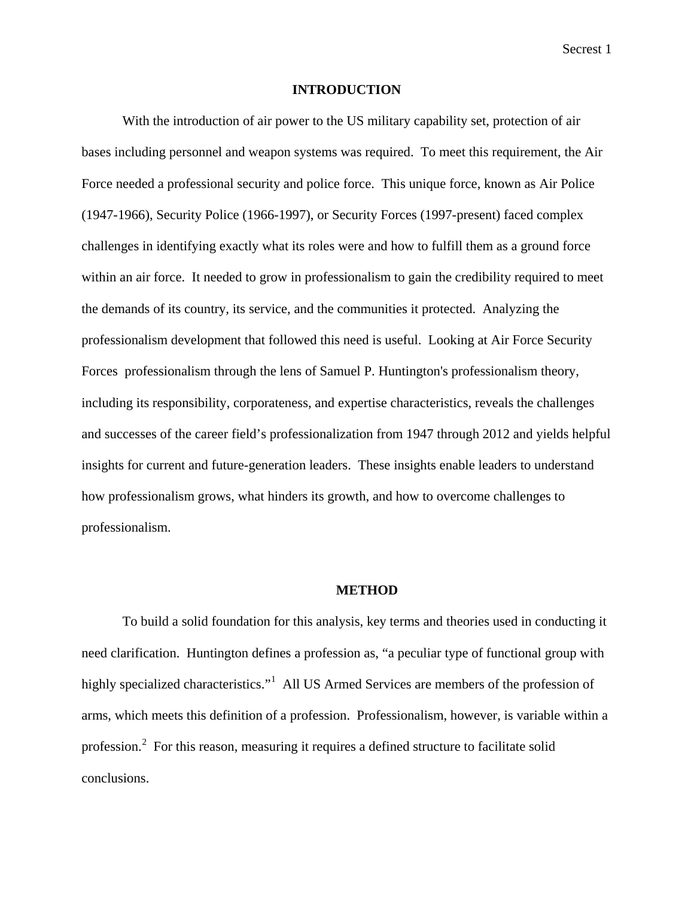#### **INTRODUCTION**

With the introduction of air power to the US military capability set, protection of air bases including personnel and weapon systems was required. To meet this requirement, the Air Force needed a professional security and police force. This unique force, known as Air Police (1947-1966), Security Police (1966-1997), or Security Forces (1997-present) faced complex challenges in identifying exactly what its roles were and how to fulfill them as a ground force within an air force. It needed to grow in professionalism to gain the credibility required to meet the demands of its country, its service, and the communities it protected. Analyzing the professionalism development that followed this need is useful. Looking at Air Force Security Forces professionalism through the lens of Samuel P. Huntington's professionalism theory, including its responsibility, corporateness, and expertise characteristics, reveals the challenges and successes of the career field's professionalization from 1947 through 2012 and yields helpful insights for current and future-generation leaders. These insights enable leaders to understand how professionalism grows, what hinders its growth, and how to overcome challenges to professionalism.

#### **METHOD**

To build a solid foundation for this analysis, key terms and theories used in conducting it need clarification. Huntington defines a profession as, "a peculiar type of functional group with highly specialized characteristics."<sup>1</sup> All US Armed Services are members of the profession of arms, which meets this definition of a profession. Professionalism, however, is variable within a profession.<sup>2</sup> For this reason, measuring it requires a defined structure to facilitate solid conclusions.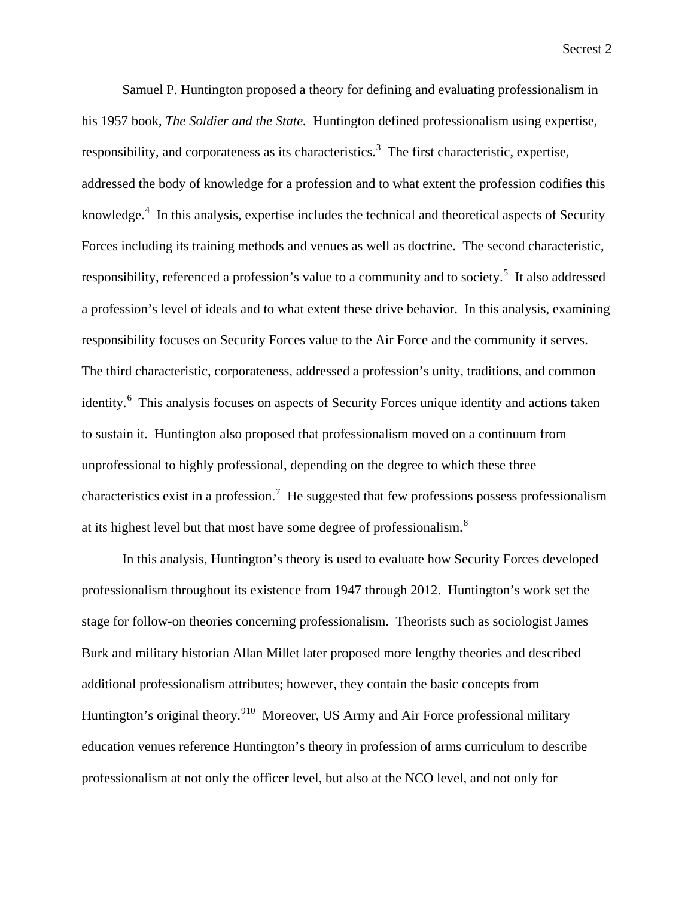Samuel P. Huntington proposed a theory for defining and evaluating professionalism in his 1957 book, *The Soldier and the State.* Huntington defined professionalism using expertise, responsibility, and corporateness as its characteristics.<sup>3</sup> The first characteristic, expertise, addressed the body of knowledge for a profession and to what extent the profession codifies this knowledge.<sup>4</sup> In this analysis, expertise includes the technical and theoretical aspects of Security Forces including its training methods and venues as well as doctrine. The second characteristic, responsibility, referenced a profession's value to a community and to society.<sup>5</sup> It also addressed a profession's level of ideals and to what extent these drive behavior. In this analysis, examining responsibility focuses on Security Forces value to the Air Force and the community it serves. The third characteristic, corporateness, addressed a profession's unity, traditions, and common identity.<sup>6</sup> This analysis focuses on aspects of Security Forces unique identity and actions taken to sustain it. Huntington also proposed that professionalism moved on a continuum from unprofessional to highly professional, depending on the degree to which these three characteristics exist in a profession.<sup>7</sup> He suggested that few professions possess professionalism at its highest level but that most have some degree of professionalism.<sup>8</sup>

In this analysis, Huntington's theory is used to evaluate how Security Forces developed professionalism throughout its existence from 1947 through 2012. Huntington's work set the stage for follow-on theories concerning professionalism. Theorists such as sociologist James Burk and military historian Allan Millet later proposed more lengthy theories and described additional professionalism attributes; however, they contain the basic concepts from Huntington's original theory.<sup>910</sup> Moreover, US Army and Air Force professional military education venues reference Huntington's theory in profession of arms curriculum to describe professionalism at not only the officer level, but also at the NCO level, and not only for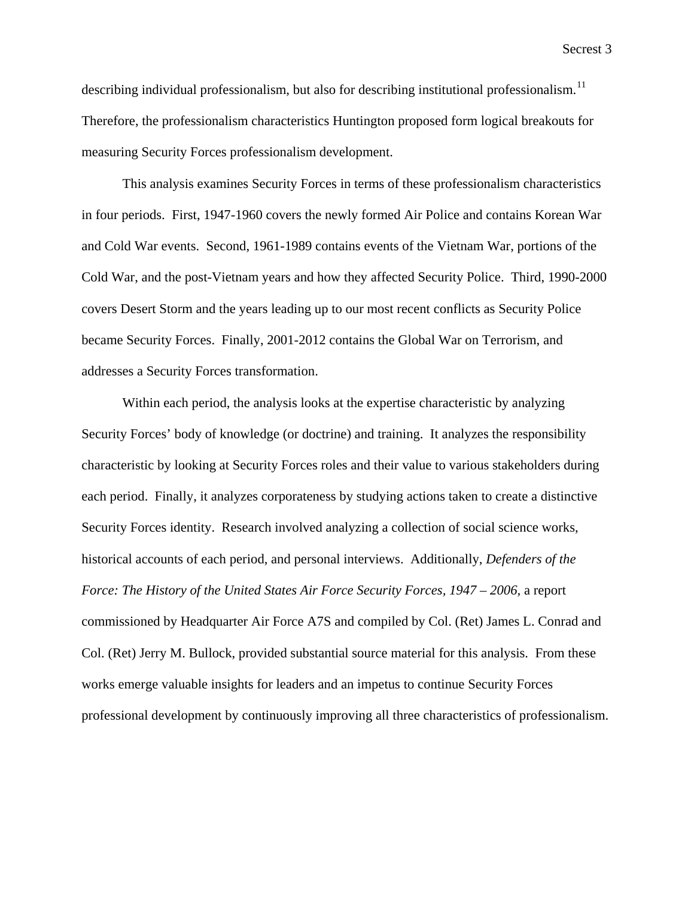describing individual professionalism, but also for describing institutional professionalism.<sup>11</sup> Therefore, the professionalism characteristics Huntington proposed form logical breakouts for measuring Security Forces professionalism development.

This analysis examines Security Forces in terms of these professionalism characteristics in four periods. First, 1947-1960 covers the newly formed Air Police and contains Korean War and Cold War events. Second, 1961-1989 contains events of the Vietnam War, portions of the Cold War, and the post-Vietnam years and how they affected Security Police. Third, 1990-2000 covers Desert Storm and the years leading up to our most recent conflicts as Security Police became Security Forces. Finally, 2001-2012 contains the Global War on Terrorism, and addresses a Security Forces transformation.

Within each period, the analysis looks at the expertise characteristic by analyzing Security Forces' body of knowledge (or doctrine) and training. It analyzes the responsibility characteristic by looking at Security Forces roles and their value to various stakeholders during each period. Finally, it analyzes corporateness by studying actions taken to create a distinctive Security Forces identity. Research involved analyzing a collection of social science works, historical accounts of each period, and personal interviews. Additionally, *Defenders of the Force: The History of the United States Air Force Security Forces, 1947 – 2006,* a report commissioned by Headquarter Air Force A7S and compiled by Col. (Ret) James L. Conrad and Col. (Ret) Jerry M. Bullock, provided substantial source material for this analysis. From these works emerge valuable insights for leaders and an impetus to continue Security Forces professional development by continuously improving all three characteristics of professionalism.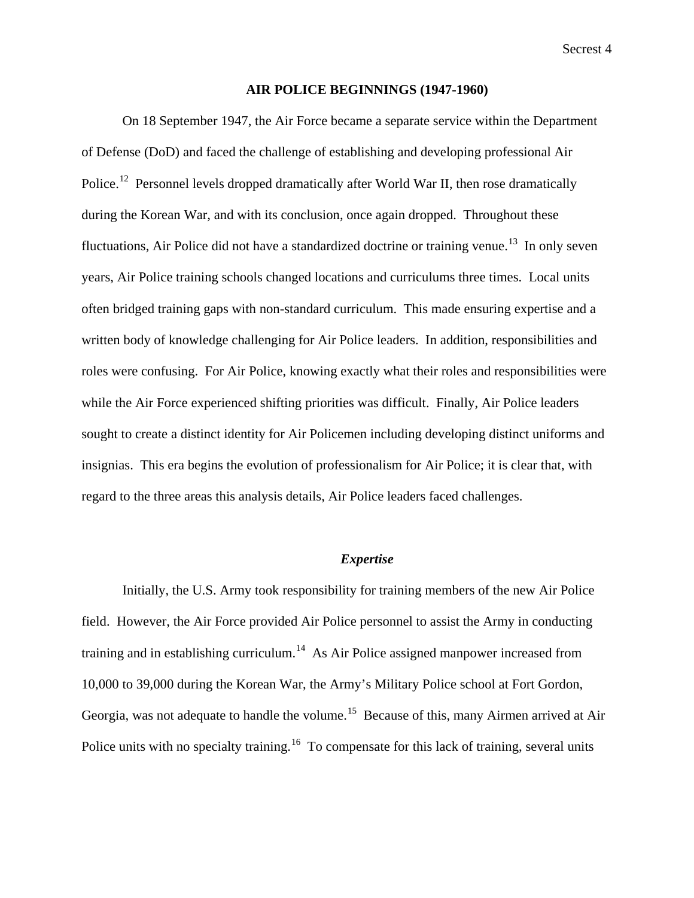#### **AIR POLICE BEGINNINGS (1947-1960)**

On 18 September 1947, the Air Force became a separate service within the Department of Defense (DoD) and faced the challenge of establishing and developing professional Air Police.<sup>12</sup> Personnel levels dropped dramatically after World War II, then rose dramatically during the Korean War, and with its conclusion, once again dropped. Throughout these fluctuations, Air Police did not have a standardized doctrine or training venue.<sup>13</sup> In only seven years, Air Police training schools changed locations and curriculums three times. Local units often bridged training gaps with non-standard curriculum. This made ensuring expertise and a written body of knowledge challenging for Air Police leaders. In addition, responsibilities and roles were confusing. For Air Police, knowing exactly what their roles and responsibilities were while the Air Force experienced shifting priorities was difficult. Finally, Air Police leaders sought to create a distinct identity for Air Policemen including developing distinct uniforms and insignias. This era begins the evolution of professionalism for Air Police; it is clear that, with regard to the three areas this analysis details, Air Police leaders faced challenges.

## *Expertise*

Initially, the U.S. Army took responsibility for training members of the new Air Police field. However, the Air Force provided Air Police personnel to assist the Army in conducting training and in establishing curriculum.<sup>14</sup> As Air Police assigned manpower increased from 10,000 to 39,000 during the Korean War, the Army's Military Police school at Fort Gordon, Georgia, was not adequate to handle the volume.<sup>15</sup> Because of this, many Airmen arrived at Air Police units with no specialty training.<sup>16</sup> To compensate for this lack of training, several units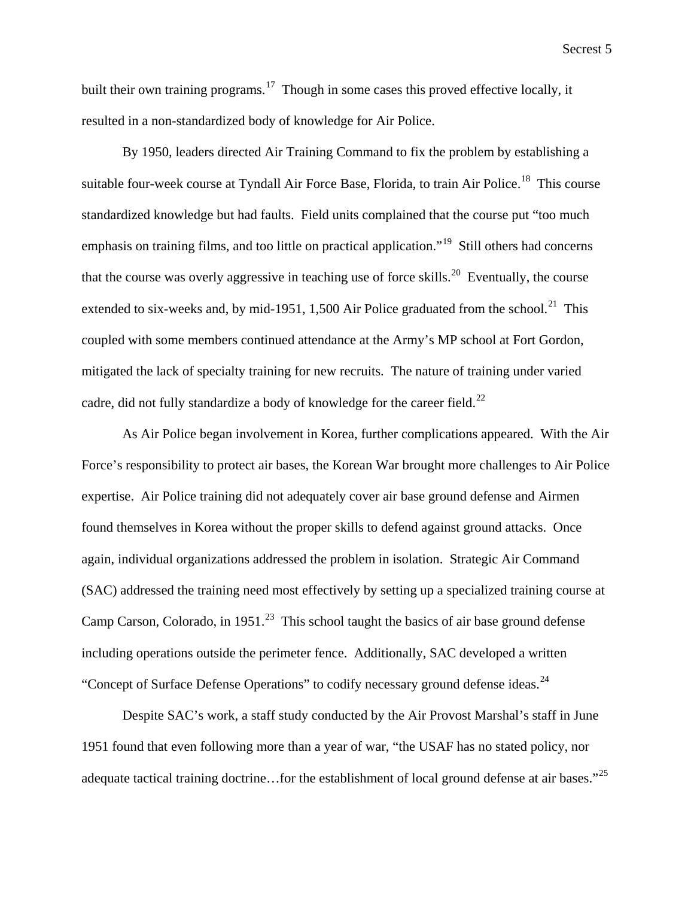built their own training programs.<sup>17</sup> Though in some cases this proved effective locally, it resulted in a non-standardized body of knowledge for Air Police.

By 1950, leaders directed Air Training Command to fix the problem by establishing a suitable four-week course at Tyndall Air Force Base, Florida, to train Air Police.<sup>18</sup> This course standardized knowledge but had faults. Field units complained that the course put "too much emphasis on training films, and too little on practical application."<sup>19</sup> Still others had concerns that the course was overly aggressive in teaching use of force skills.<sup>20</sup> Eventually, the course extended to six-weeks and, by mid-1951, 1,500 Air Police graduated from the school.<sup>21</sup> This coupled with some members continued attendance at the Army's MP school at Fort Gordon, mitigated the lack of specialty training for new recruits. The nature of training under varied cadre, did not fully standardize a body of knowledge for the career field.<sup>22</sup>

As Air Police began involvement in Korea, further complications appeared. With the Air Force's responsibility to protect air bases, the Korean War brought more challenges to Air Police expertise. Air Police training did not adequately cover air base ground defense and Airmen found themselves in Korea without the proper skills to defend against ground attacks. Once again, individual organizations addressed the problem in isolation. Strategic Air Command (SAC) addressed the training need most effectively by setting up a specialized training course at Camp Carson, Colorado, in 1951.<sup>23</sup> This school taught the basics of air base ground defense including operations outside the perimeter fence. Additionally, SAC developed a written "Concept of Surface Defense Operations" to codify necessary ground defense ideas.<sup>24</sup>

Despite SAC's work, a staff study conducted by the Air Provost Marshal's staff in June 1951 found that even following more than a year of war, "the USAF has no stated policy, nor adequate tactical training doctrine...for the establishment of local ground defense at air bases."<sup>25</sup>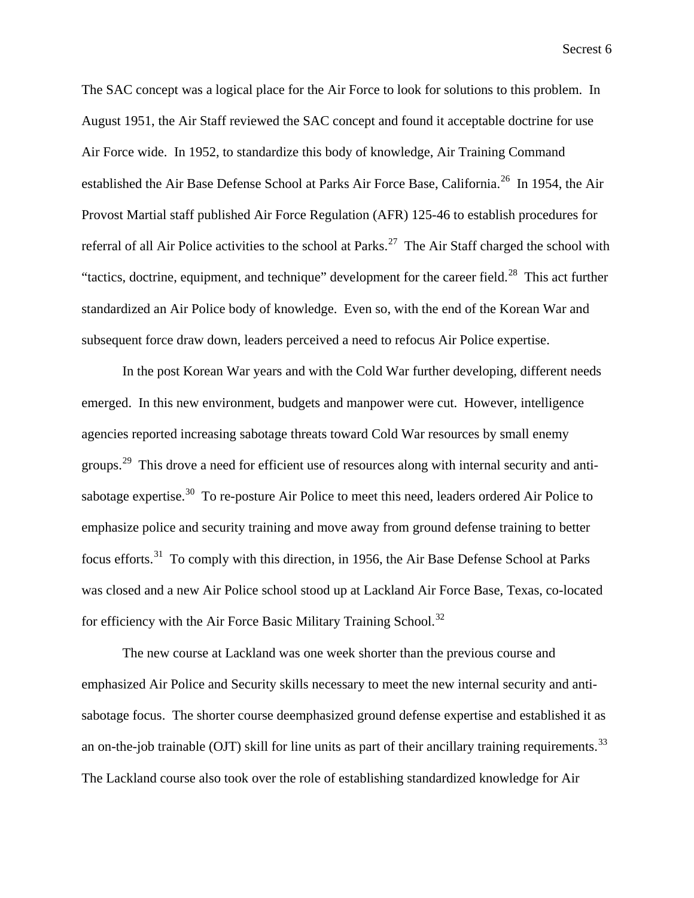The SAC concept was a logical place for the Air Force to look for solutions to this problem. In August 1951, the Air Staff reviewed the SAC concept and found it acceptable doctrine for use Air Force wide. In 1952, to standardize this body of knowledge, Air Training Command established the Air Base Defense School at Parks Air Force Base, California.<sup>26</sup> In 1954, the Air Provost Martial staff published Air Force Regulation (AFR) 125-46 to establish procedures for referral of all Air Police activities to the school at Parks.<sup>27</sup> The Air Staff charged the school with "tactics, doctrine, equipment, and technique" development for the career field.<sup>28</sup> This act further standardized an Air Police body of knowledge. Even so, with the end of the Korean War and subsequent force draw down, leaders perceived a need to refocus Air Police expertise.

In the post Korean War years and with the Cold War further developing, different needs emerged. In this new environment, budgets and manpower were cut. However, intelligence agencies reported increasing sabotage threats toward Cold War resources by small enemy groups.<sup>29</sup> This drove a need for efficient use of resources along with internal security and antisabotage expertise.<sup>30</sup> To re-posture Air Police to meet this need, leaders ordered Air Police to emphasize police and security training and move away from ground defense training to better focus efforts.<sup>31</sup> To comply with this direction, in 1956, the Air Base Defense School at Parks was closed and a new Air Police school stood up at Lackland Air Force Base, Texas, co-located for efficiency with the Air Force Basic Military Training School.<sup>32</sup>

The new course at Lackland was one week shorter than the previous course and emphasized Air Police and Security skills necessary to meet the new internal security and antisabotage focus. The shorter course deemphasized ground defense expertise and established it as an on-the-job trainable (OJT) skill for line units as part of their ancillary training requirements.<sup>33</sup> The Lackland course also took over the role of establishing standardized knowledge for Air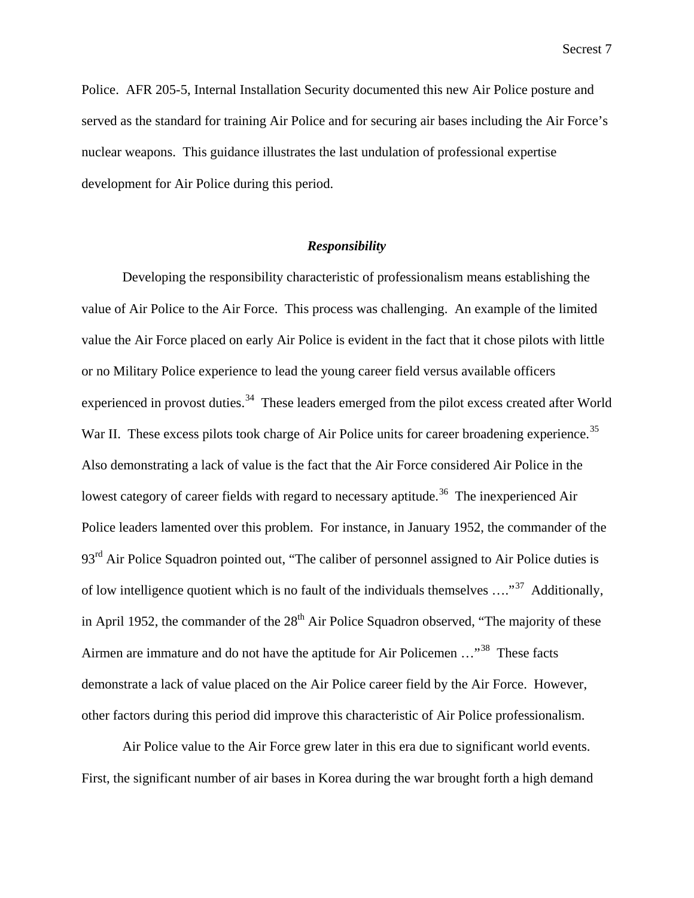Police. AFR 205-5, Internal Installation Security documented this new Air Police posture and served as the standard for training Air Police and for securing air bases including the Air Force's nuclear weapons. This guidance illustrates the last undulation of professional expertise development for Air Police during this period.

## *Responsibility*

Developing the responsibility characteristic of professionalism means establishing the value of Air Police to the Air Force. This process was challenging. An example of the limited value the Air Force placed on early Air Police is evident in the fact that it chose pilots with little or no Military Police experience to lead the young career field versus available officers experienced in provost duties.<sup>34</sup> These leaders emerged from the pilot excess created after World War II. These excess pilots took charge of Air Police units for career broadening experience.<sup>35</sup> Also demonstrating a lack of value is the fact that the Air Force considered Air Police in the lowest category of career fields with regard to necessary aptitude.<sup>36</sup> The inexperienced Air Police leaders lamented over this problem. For instance, in January 1952, the commander of the 93<sup>rd</sup> Air Police Squadron pointed out, "The caliber of personnel assigned to Air Police duties is of low intelligence quotient which is no fault of the individuals themselves  $\dots$ <sup>37</sup> Additionally, in April 1952, the commander of the  $28<sup>th</sup>$  Air Police Squadron observed, "The majority of these Airmen are immature and do not have the aptitude for Air Policemen ..."<sup>38</sup> These facts demonstrate a lack of value placed on the Air Police career field by the Air Force. However, other factors during this period did improve this characteristic of Air Police professionalism.

Air Police value to the Air Force grew later in this era due to significant world events. First, the significant number of air bases in Korea during the war brought forth a high demand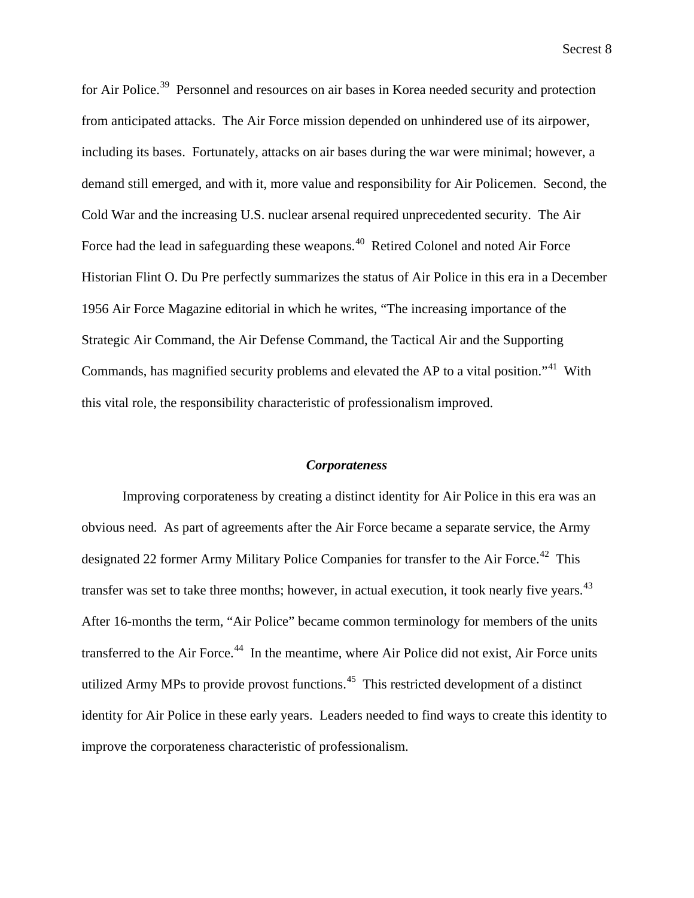for Air Police.<sup>39</sup> Personnel and resources on air bases in Korea needed security and protection from anticipated attacks. The Air Force mission depended on unhindered use of its airpower, including its bases. Fortunately, attacks on air bases during the war were minimal; however, a demand still emerged, and with it, more value and responsibility for Air Policemen. Second, the Cold War and the increasing U.S. nuclear arsenal required unprecedented security. The Air Force had the lead in safeguarding these weapons.<sup>40</sup> Retired Colonel and noted Air Force Historian Flint O. Du Pre perfectly summarizes the status of Air Police in this era in a December 1956 Air Force Magazine editorial in which he writes, "The increasing importance of the Strategic Air Command, the Air Defense Command, the Tactical Air and the Supporting Commands, has magnified security problems and elevated the AP to a vital position."<sup>41</sup> With this vital role, the responsibility characteristic of professionalism improved.

# *Corporateness*

Improving corporateness by creating a distinct identity for Air Police in this era was an obvious need. As part of agreements after the Air Force became a separate service, the Army designated 22 former Army Military Police Companies for transfer to the Air Force.<sup>42</sup> This transfer was set to take three months; however, in actual execution, it took nearly five years.<sup>43</sup> After 16-months the term, "Air Police" became common terminology for members of the units transferred to the Air Force.<sup>44</sup> In the meantime, where Air Police did not exist, Air Force units utilized Army MPs to provide provost functions.<sup>45</sup> This restricted development of a distinct identity for Air Police in these early years. Leaders needed to find ways to create this identity to improve the corporateness characteristic of professionalism.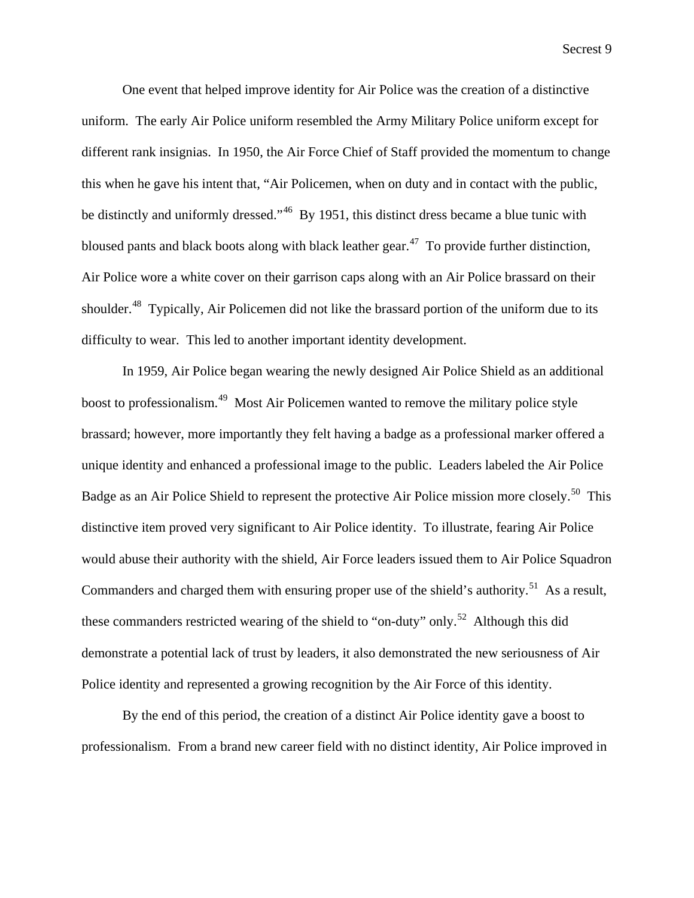One event that helped improve identity for Air Police was the creation of a distinctive uniform. The early Air Police uniform resembled the Army Military Police uniform except for different rank insignias. In 1950, the Air Force Chief of Staff provided the momentum to change this when he gave his intent that, "Air Policemen, when on duty and in contact with the public, be distinctly and uniformly dressed."<sup>46</sup>By 1951, this distinct dress became a blue tunic with bloused pants and black boots along with black leather gear.<sup>47</sup> To provide further distinction, Air Police wore a white cover on their garrison caps along with an Air Police brassard on their shoulder.<sup>48</sup> Typically, Air Policemen did not like the brassard portion of the uniform due to its difficulty to wear. This led to another important identity development.

In 1959, Air Police began wearing the newly designed Air Police Shield as an additional boost to professionalism.<sup>49</sup> Most Air Policemen wanted to remove the military police style brassard; however, more importantly they felt having a badge as a professional marker offered a unique identity and enhanced a professional image to the public. Leaders labeled the Air Police Badge as an Air Police Shield to represent the protective Air Police mission more closely.<sup>50</sup> This distinctive item proved very significant to Air Police identity. To illustrate, fearing Air Police would abuse their authority with the shield, Air Force leaders issued them to Air Police Squadron Commanders and charged them with ensuring proper use of the shield's authority.<sup>51</sup> As a result, these commanders restricted wearing of the shield to "on-duty" only.<sup>52</sup> Although this did demonstrate a potential lack of trust by leaders, it also demonstrated the new seriousness of Air Police identity and represented a growing recognition by the Air Force of this identity.

By the end of this period, the creation of a distinct Air Police identity gave a boost to professionalism. From a brand new career field with no distinct identity, Air Police improved in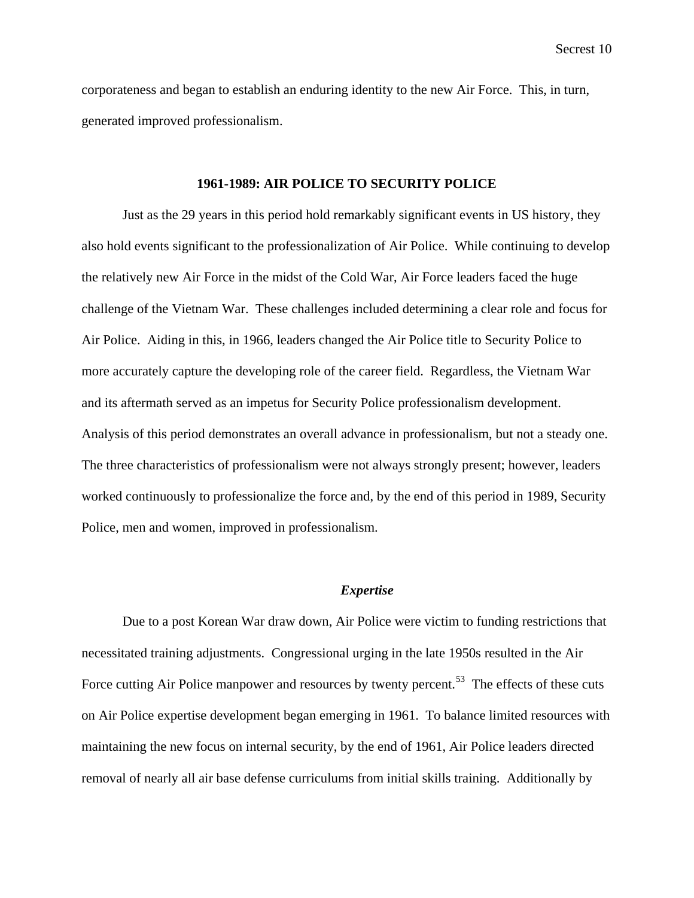corporateness and began to establish an enduring identity to the new Air Force. This, in turn, generated improved professionalism.

#### **1961-1989: AIR POLICE TO SECURITY POLICE**

Just as the 29 years in this period hold remarkably significant events in US history, they also hold events significant to the professionalization of Air Police. While continuing to develop the relatively new Air Force in the midst of the Cold War, Air Force leaders faced the huge challenge of the Vietnam War. These challenges included determining a clear role and focus for Air Police. Aiding in this, in 1966, leaders changed the Air Police title to Security Police to more accurately capture the developing role of the career field. Regardless, the Vietnam War and its aftermath served as an impetus for Security Police professionalism development. Analysis of this period demonstrates an overall advance in professionalism, but not a steady one. The three characteristics of professionalism were not always strongly present; however, leaders worked continuously to professionalize the force and, by the end of this period in 1989, Security Police, men and women, improved in professionalism.

#### *Expertise*

Due to a post Korean War draw down, Air Police were victim to funding restrictions that necessitated training adjustments. Congressional urging in the late 1950s resulted in the Air Force cutting Air Police manpower and resources by twenty percent.<sup>53</sup> The effects of these cuts on Air Police expertise development began emerging in 1961. To balance limited resources with maintaining the new focus on internal security, by the end of 1961, Air Police leaders directed removal of nearly all air base defense curriculums from initial skills training. Additionally by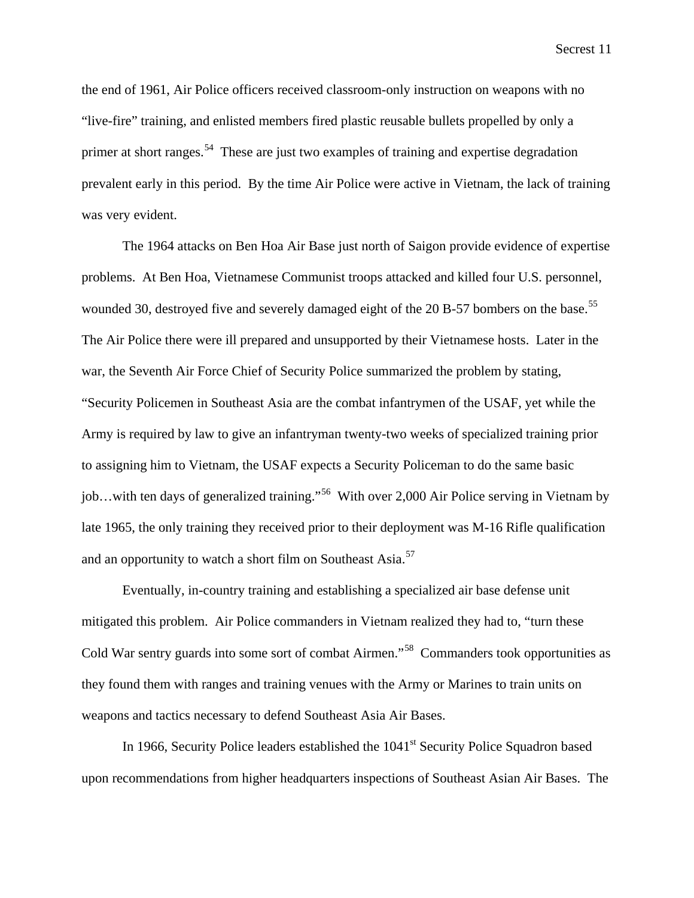the end of 1961, Air Police officers received classroom-only instruction on weapons with no "live-fire" training, and enlisted members fired plastic reusable bullets propelled by only a primer at short ranges.<sup>54</sup> These are just two examples of training and expertise degradation prevalent early in this period. By the time Air Police were active in Vietnam, the lack of training was very evident.

The 1964 attacks on Ben Hoa Air Base just north of Saigon provide evidence of expertise problems. At Ben Hoa, Vietnamese Communist troops attacked and killed four U.S. personnel, wounded 30, destroyed five and severely damaged eight of the 20 B-57 bombers on the base.<sup>55</sup> The Air Police there were ill prepared and unsupported by their Vietnamese hosts. Later in the war, the Seventh Air Force Chief of Security Police summarized the problem by stating, "Security Policemen in Southeast Asia are the combat infantrymen of the USAF, yet while the Army is required by law to give an infantryman twenty-two weeks of specialized training prior to assigning him to Vietnam, the USAF expects a Security Policeman to do the same basic job...with ten days of generalized training."<sup>56</sup> With over 2,000 Air Police serving in Vietnam by late 1965, the only training they received prior to their deployment was M-16 Rifle qualification and an opportunity to watch a short film on Southeast Asia.<sup>57</sup>

Eventually, in-country training and establishing a specialized air base defense unit mitigated this problem. Air Police commanders in Vietnam realized they had to, "turn these Cold War sentry guards into some sort of combat Airmen."<sup>58</sup> Commanders took opportunities as they found them with ranges and training venues with the Army or Marines to train units on weapons and tactics necessary to defend Southeast Asia Air Bases.

In 1966, Security Police leaders established the  $1041<sup>st</sup>$  Security Police Squadron based upon recommendations from higher headquarters inspections of Southeast Asian Air Bases. The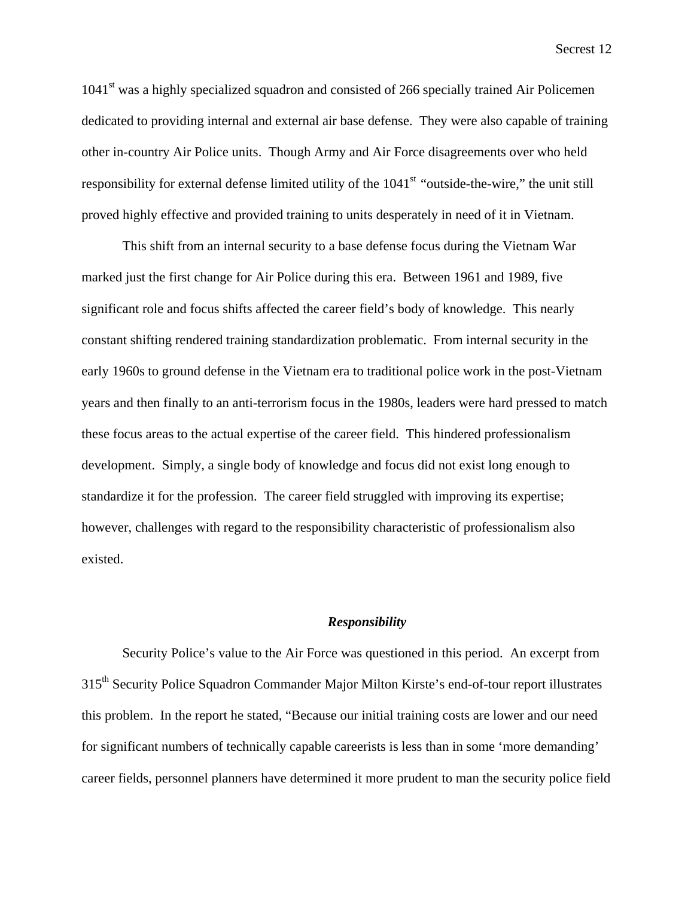1041<sup>st</sup> was a highly specialized squadron and consisted of 266 specially trained Air Policemen dedicated to providing internal and external air base defense. They were also capable of training other in-country Air Police units. Though Army and Air Force disagreements over who held responsibility for external defense limited utility of the 1041<sup>st</sup> "outside-the-wire," the unit still proved highly effective and provided training to units desperately in need of it in Vietnam.

This shift from an internal security to a base defense focus during the Vietnam War marked just the first change for Air Police during this era. Between 1961 and 1989, five significant role and focus shifts affected the career field's body of knowledge. This nearly constant shifting rendered training standardization problematic. From internal security in the early 1960s to ground defense in the Vietnam era to traditional police work in the post-Vietnam years and then finally to an anti-terrorism focus in the 1980s, leaders were hard pressed to match these focus areas to the actual expertise of the career field. This hindered professionalism development. Simply, a single body of knowledge and focus did not exist long enough to standardize it for the profession. The career field struggled with improving its expertise; however, challenges with regard to the responsibility characteristic of professionalism also existed.

#### *Responsibility*

Security Police's value to the Air Force was questioned in this period. An excerpt from 315<sup>th</sup> Security Police Squadron Commander Major Milton Kirste's end-of-tour report illustrates this problem. In the report he stated, "Because our initial training costs are lower and our need for significant numbers of technically capable careerists is less than in some 'more demanding' career fields, personnel planners have determined it more prudent to man the security police field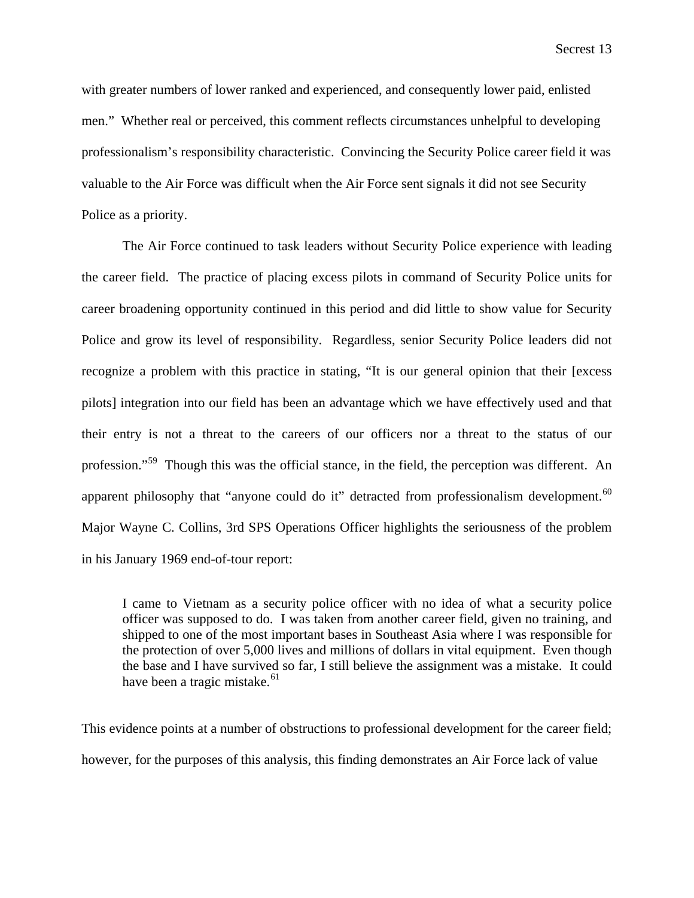with greater numbers of lower ranked and experienced, and consequently lower paid, enlisted men." Whether real or perceived, this comment reflects circumstances unhelpful to developing professionalism's responsibility characteristic. Convincing the Security Police career field it was valuable to the Air Force was difficult when the Air Force sent signals it did not see Security Police as a priority.

The Air Force continued to task leaders without Security Police experience with leading the career field. The practice of placing excess pilots in command of Security Police units for career broadening opportunity continued in this period and did little to show value for Security Police and grow its level of responsibility. Regardless, senior Security Police leaders did not recognize a problem with this practice in stating, "It is our general opinion that their [excess pilots] integration into our field has been an advantage which we have effectively used and that their entry is not a threat to the careers of our officers nor a threat to the status of our profession."<sup>59</sup> Though this was the official stance, in the field, the perception was different. An apparent philosophy that "anyone could do it" detracted from professionalism development.<sup>60</sup> Major Wayne C. Collins, 3rd SPS Operations Officer highlights the seriousness of the problem in his January 1969 end-of-tour report:

I came to Vietnam as a security police officer with no idea of what a security police officer was supposed to do. I was taken from another career field, given no training, and shipped to one of the most important bases in Southeast Asia where I was responsible for the protection of over 5,000 lives and millions of dollars in vital equipment. Even though the base and I have survived so far, I still believe the assignment was a mistake. It could have been a tragic mistake. $61$ 

This evidence points at a number of obstructions to professional development for the career field; however, for the purposes of this analysis, this finding demonstrates an Air Force lack of value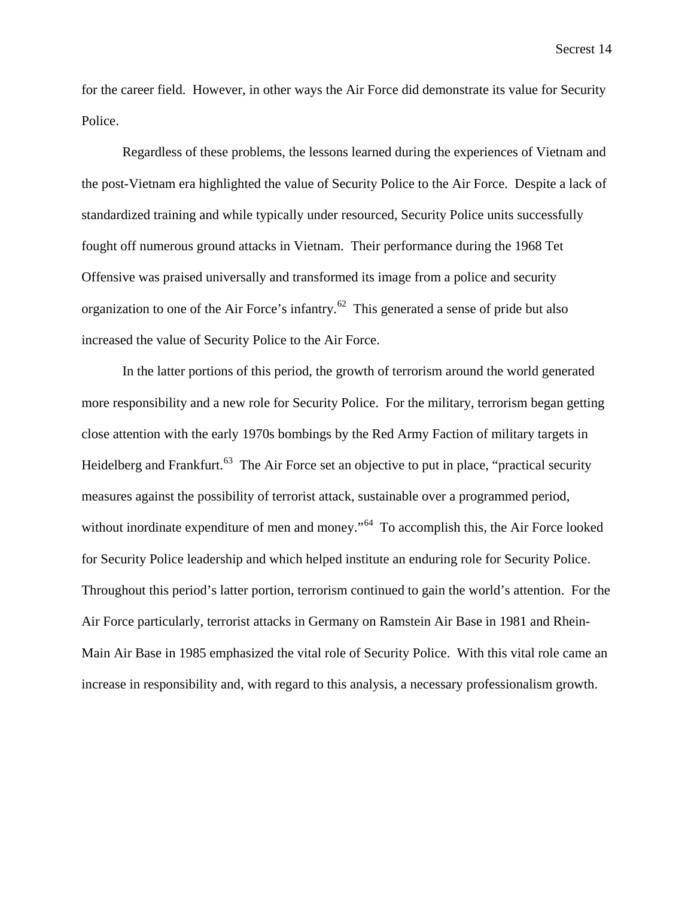for the career field. However, in other ways the Air Force did demonstrate its value for Security Police.

Regardless of these problems, the lessons learned during the experiences of Vietnam and the post-Vietnam era highlighted the value of Security Police to the Air Force. Despite a lack of standardized training and while typically under resourced, Security Police units successfully fought off numerous ground attacks in Vietnam. Their performance during the 1968 Tet Offensive was praised universally and transformed its image from a police and security organization to one of the Air Force's infantry.<sup>62</sup> This generated a sense of pride but also increased the value of Security Police to the Air Force.

In the latter portions of this period, the growth of terrorism around the world generated more responsibility and a new role for Security Police. For the military, terrorism began getting close attention with the early 1970s bombings by the Red Army Faction of military targets in Heidelberg and Frankfurt.<sup>63</sup> The Air Force set an objective to put in place, "practical security measures against the possibility of terrorist attack, sustainable over a programmed period, without inordinate expenditure of men and money."<sup>64</sup> To accomplish this, the Air Force looked for Security Police leadership and which helped institute an enduring role for Security Police. Throughout this period's latter portion, terrorism continued to gain the world's attention. For the Air Force particularly, terrorist attacks in Germany on Ramstein Air Base in 1981 and Rhein-Main Air Base in 1985 emphasized the vital role of Security Police. With this vital role came an increase in responsibility and, with regard to this analysis, a necessary professionalism growth.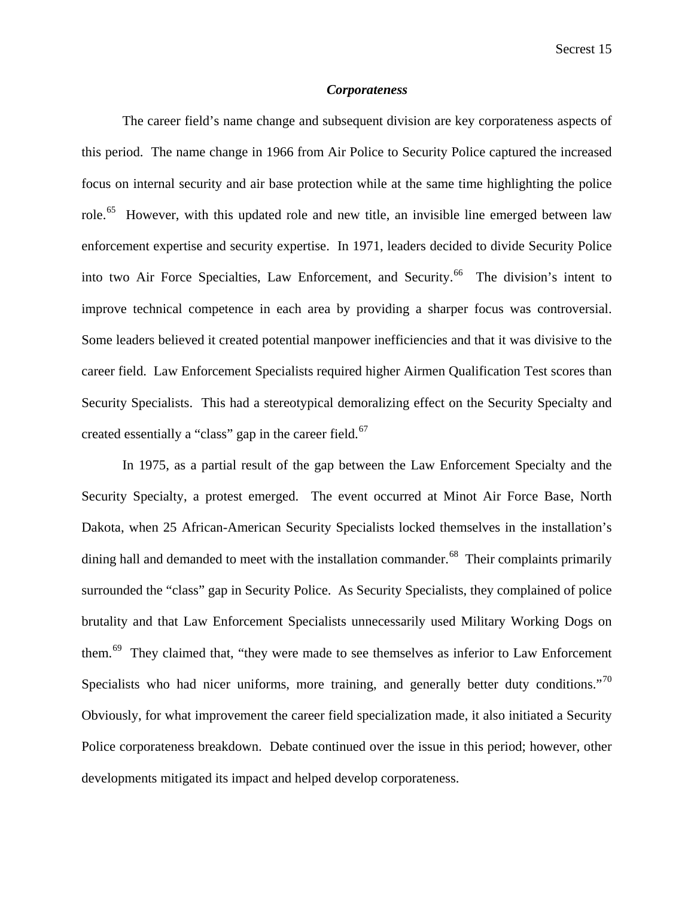# *Corporateness*

The career field's name change and subsequent division are key corporateness aspects of this period. The name change in 1966 from Air Police to Security Police captured the increased focus on internal security and air base protection while at the same time highlighting the police role.<sup>65</sup> However, with this updated role and new title, an invisible line emerged between law enforcement expertise and security expertise. In 1971, leaders decided to divide Security Police into two Air Force Specialties, Law Enforcement, and Security.<sup>66</sup> The division's intent to improve technical competence in each area by providing a sharper focus was controversial. Some leaders believed it created potential manpower inefficiencies and that it was divisive to the career field. Law Enforcement Specialists required higher Airmen Qualification Test scores than Security Specialists. This had a stereotypical demoralizing effect on the Security Specialty and created essentially a "class" gap in the career field.<sup>67</sup>

In 1975, as a partial result of the gap between the Law Enforcement Specialty and the Security Specialty, a protest emerged. The event occurred at Minot Air Force Base, North Dakota, when 25 African-American Security Specialists locked themselves in the installation's dining hall and demanded to meet with the installation commander.<sup>68</sup> Their complaints primarily surrounded the "class" gap in Security Police. As Security Specialists, they complained of police brutality and that Law Enforcement Specialists unnecessarily used Military Working Dogs on them.69 They claimed that, "they were made to see themselves as inferior to Law Enforcement Specialists who had nicer uniforms, more training, and generally better duty conditions."<sup>70</sup> Obviously, for what improvement the career field specialization made, it also initiated a Security Police corporateness breakdown. Debate continued over the issue in this period; however, other developments mitigated its impact and helped develop corporateness.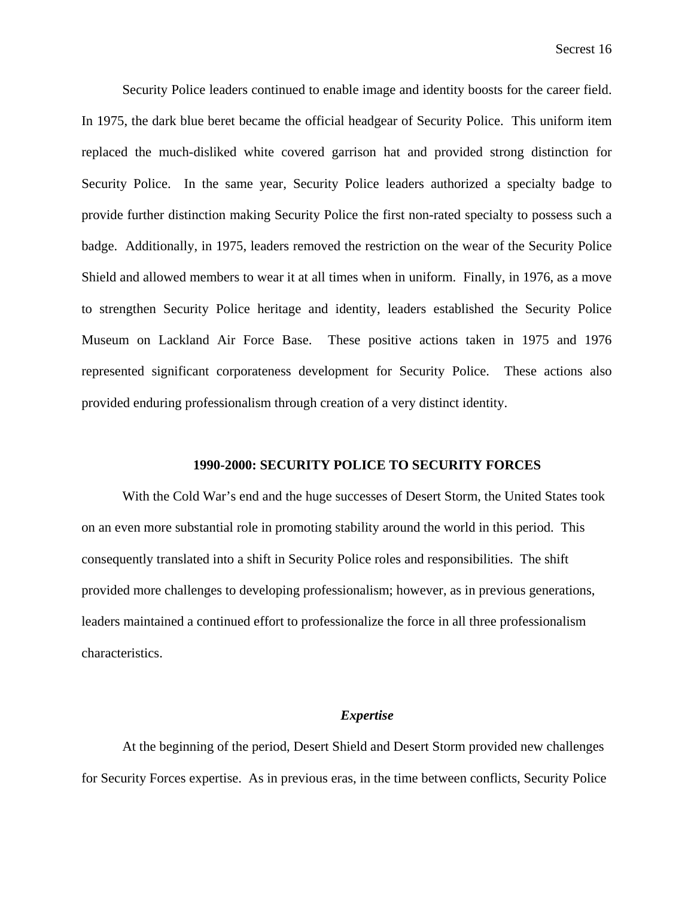Security Police leaders continued to enable image and identity boosts for the career field. In 1975, the dark blue beret became the official headgear of Security Police. This uniform item replaced the much-disliked white covered garrison hat and provided strong distinction for Security Police. In the same year, Security Police leaders authorized a specialty badge to provide further distinction making Security Police the first non-rated specialty to possess such a badge. Additionally, in 1975, leaders removed the restriction on the wear of the Security Police Shield and allowed members to wear it at all times when in uniform. Finally, in 1976, as a move to strengthen Security Police heritage and identity, leaders established the Security Police Museum on Lackland Air Force Base. These positive actions taken in 1975 and 1976 represented significant corporateness development for Security Police. These actions also provided enduring professionalism through creation of a very distinct identity.

#### **1990-2000: SECURITY POLICE TO SECURITY FORCES**

With the Cold War's end and the huge successes of Desert Storm, the United States took on an even more substantial role in promoting stability around the world in this period. This consequently translated into a shift in Security Police roles and responsibilities. The shift provided more challenges to developing professionalism; however, as in previous generations, leaders maintained a continued effort to professionalize the force in all three professionalism characteristics.

#### *Expertise*

At the beginning of the period, Desert Shield and Desert Storm provided new challenges for Security Forces expertise. As in previous eras, in the time between conflicts, Security Police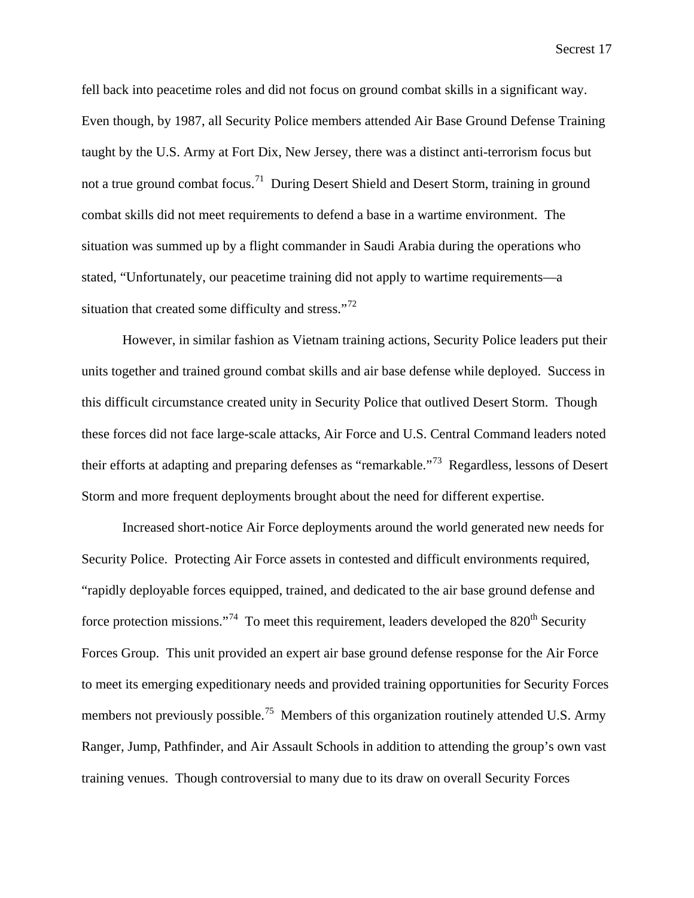fell back into peacetime roles and did not focus on ground combat skills in a significant way. Even though, by 1987, all Security Police members attended Air Base Ground Defense Training taught by the U.S. Army at Fort Dix, New Jersey, there was a distinct anti-terrorism focus but not a true ground combat focus.<sup>71</sup> During Desert Shield and Desert Storm, training in ground combat skills did not meet requirements to defend a base in a wartime environment. The situation was summed up by a flight commander in Saudi Arabia during the operations who stated, "Unfortunately, our peacetime training did not apply to wartime requirements—a situation that created some difficulty and stress."<sup>72</sup>

However, in similar fashion as Vietnam training actions, Security Police leaders put their units together and trained ground combat skills and air base defense while deployed. Success in this difficult circumstance created unity in Security Police that outlived Desert Storm. Though these forces did not face large-scale attacks, Air Force and U.S. Central Command leaders noted their efforts at adapting and preparing defenses as "remarkable."<sup>73</sup> Regardless, lessons of Desert Storm and more frequent deployments brought about the need for different expertise.

Increased short-notice Air Force deployments around the world generated new needs for Security Police. Protecting Air Force assets in contested and difficult environments required, "rapidly deployable forces equipped, trained, and dedicated to the air base ground defense and force protection missions."<sup>74</sup> To meet this requirement, leaders developed the  $820<sup>th</sup>$  Security Forces Group. This unit provided an expert air base ground defense response for the Air Force to meet its emerging expeditionary needs and provided training opportunities for Security Forces members not previously possible.<sup>75</sup> Members of this organization routinely attended U.S. Army Ranger, Jump, Pathfinder, and Air Assault Schools in addition to attending the group's own vast training venues. Though controversial to many due to its draw on overall Security Forces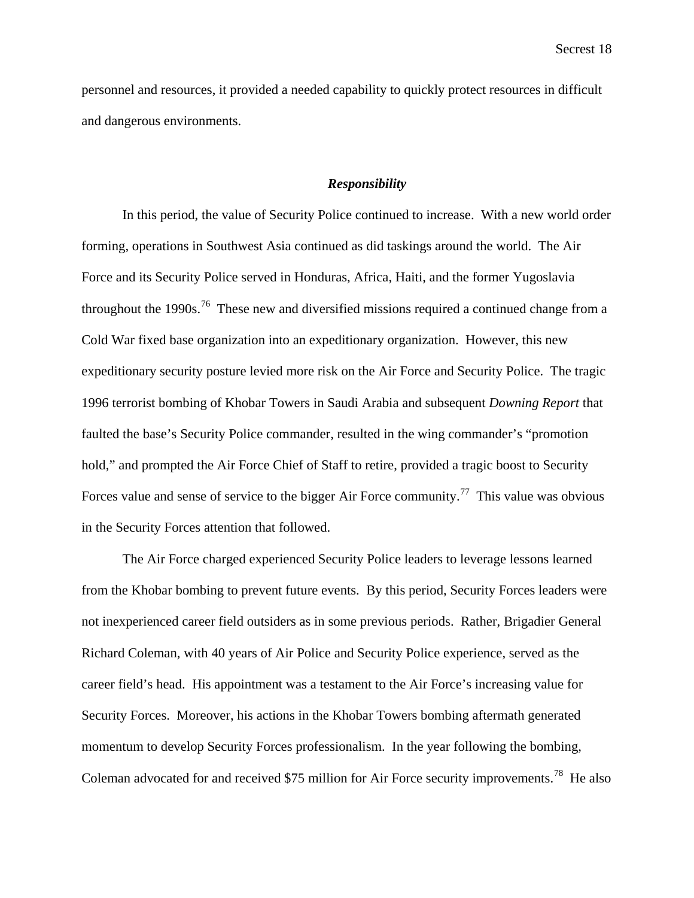personnel and resources, it provided a needed capability to quickly protect resources in difficult and dangerous environments.

## *Responsibility*

In this period, the value of Security Police continued to increase. With a new world order forming, operations in Southwest Asia continued as did taskings around the world. The Air Force and its Security Police served in Honduras, Africa, Haiti, and the former Yugoslavia throughout the 1990s.<sup>76</sup> These new and diversified missions required a continued change from a Cold War fixed base organization into an expeditionary organization. However, this new expeditionary security posture levied more risk on the Air Force and Security Police. The tragic 1996 terrorist bombing of Khobar Towers in Saudi Arabia and subsequent *Downing Report* that faulted the base's Security Police commander, resulted in the wing commander's "promotion hold," and prompted the Air Force Chief of Staff to retire, provided a tragic boost to Security Forces value and sense of service to the bigger Air Force community.<sup>77</sup> This value was obvious in the Security Forces attention that followed.

The Air Force charged experienced Security Police leaders to leverage lessons learned from the Khobar bombing to prevent future events. By this period, Security Forces leaders were not inexperienced career field outsiders as in some previous periods. Rather, Brigadier General Richard Coleman, with 40 years of Air Police and Security Police experience, served as the career field's head. His appointment was a testament to the Air Force's increasing value for Security Forces. Moreover, his actions in the Khobar Towers bombing aftermath generated momentum to develop Security Forces professionalism. In the year following the bombing, Coleman advocated for and received \$75 million for Air Force security improvements.<sup>78</sup> He also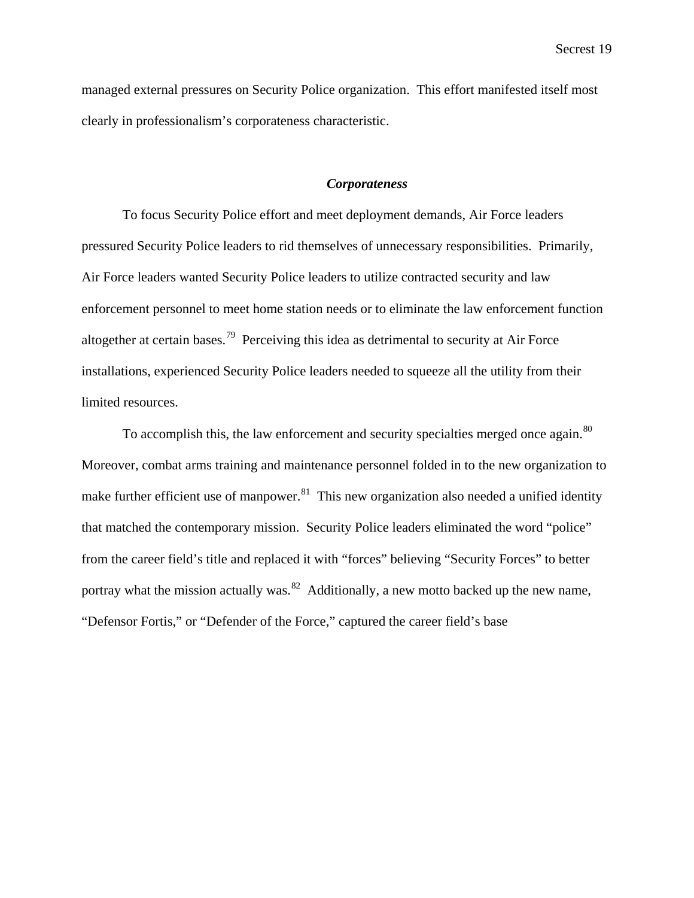managed external pressures on Security Police organization. This effort manifested itself most clearly in professionalism's corporateness characteristic.

## *Corporateness*

To focus Security Police effort and meet deployment demands, Air Force leaders pressured Security Police leaders to rid themselves of unnecessary responsibilities. Primarily, Air Force leaders wanted Security Police leaders to utilize contracted security and law enforcement personnel to meet home station needs or to eliminate the law enforcement function altogether at certain bases.<sup>79</sup> Perceiving this idea as detrimental to security at Air Force installations, experienced Security Police leaders needed to squeeze all the utility from their limited resources.

To accomplish this, the law enforcement and security specialties merged once again.<sup>80</sup> Moreover, combat arms training and maintenance personnel folded in to the new organization to make further efficient use of manpower. $81$  This new organization also needed a unified identity that matched the contemporary mission. Security Police leaders eliminated the word "police" from the career field's title and replaced it with "forces" believing "Security Forces" to better portray what the mission actually was.<sup>82</sup> Additionally, a new motto backed up the new name, "Defensor Fortis," or "Defender of the Force," captured the career field's base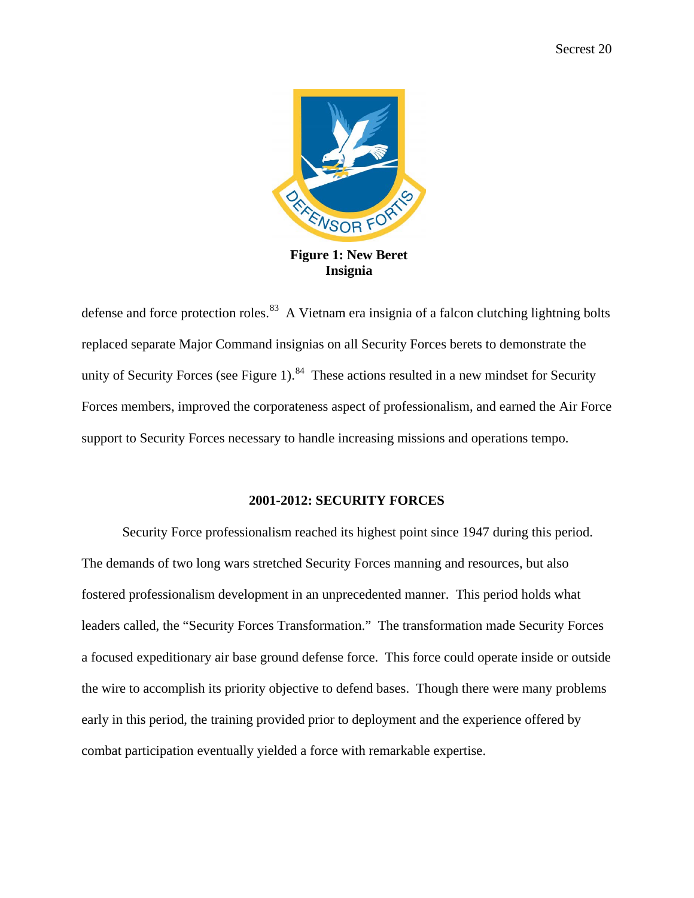

**Insignia**

defense and force protection roles.<sup>83</sup> A Vietnam era insignia of a falcon clutching lightning bolts replaced separate Major Command insignias on all Security Forces berets to demonstrate the unity of Security Forces (see Figure 1).<sup>84</sup> These actions resulted in a new mindset for Security Forces members, improved the corporateness aspect of professionalism, and earned the Air Force support to Security Forces necessary to handle increasing missions and operations tempo.

# **2001-2012: SECURITY FORCES**

Security Force professionalism reached its highest point since 1947 during this period. The demands of two long wars stretched Security Forces manning and resources, but also fostered professionalism development in an unprecedented manner. This period holds what leaders called, the "Security Forces Transformation." The transformation made Security Forces a focused expeditionary air base ground defense force. This force could operate inside or outside the wire to accomplish its priority objective to defend bases. Though there were many problems early in this period, the training provided prior to deployment and the experience offered by combat participation eventually yielded a force with remarkable expertise.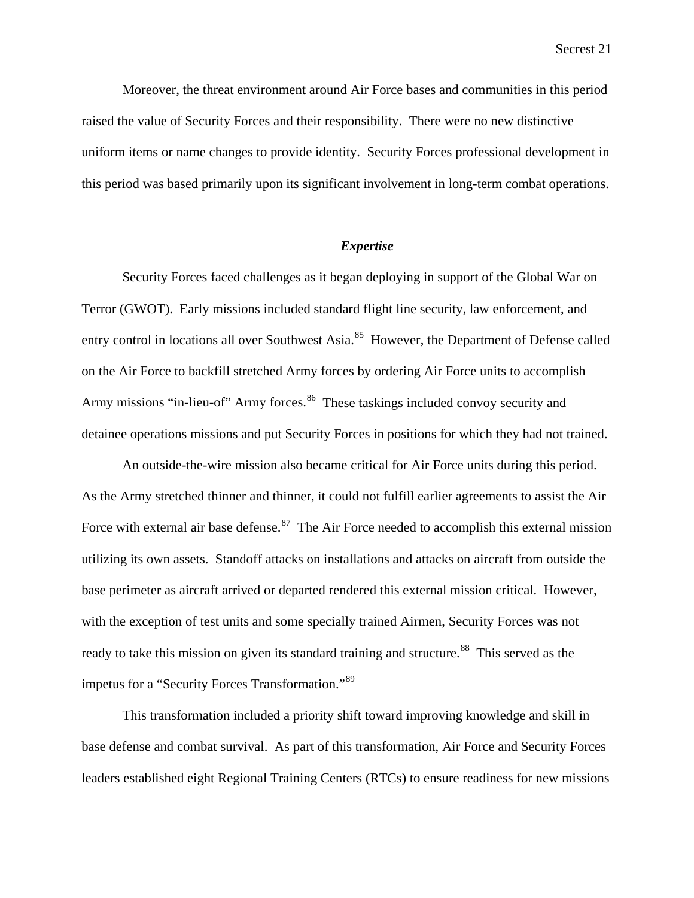Moreover, the threat environment around Air Force bases and communities in this period raised the value of Security Forces and their responsibility. There were no new distinctive uniform items or name changes to provide identity. Security Forces professional development in this period was based primarily upon its significant involvement in long-term combat operations.

#### *Expertise*

Security Forces faced challenges as it began deploying in support of the Global War on Terror (GWOT). Early missions included standard flight line security, law enforcement, and entry control in locations all over Southwest Asia.<sup>85</sup> However, the Department of Defense called on the Air Force to backfill stretched Army forces by ordering Air Force units to accomplish Army missions "in-lieu-of" Army forces.<sup>86</sup> These taskings included convoy security and detainee operations missions and put Security Forces in positions for which they had not trained.

An outside-the-wire mission also became critical for Air Force units during this period. As the Army stretched thinner and thinner, it could not fulfill earlier agreements to assist the Air Force with external air base defense.<sup>87</sup> The Air Force needed to accomplish this external mission utilizing its own assets. Standoff attacks on installations and attacks on aircraft from outside the base perimeter as aircraft arrived or departed rendered this external mission critical. However, with the exception of test units and some specially trained Airmen, Security Forces was not ready to take this mission on given its standard training and structure.<sup>88</sup> This served as the impetus for a "Security Forces Transformation."<sup>89</sup>

This transformation included a priority shift toward improving knowledge and skill in base defense and combat survival. As part of this transformation, Air Force and Security Forces leaders established eight Regional Training Centers (RTCs) to ensure readiness for new missions

Secrest 21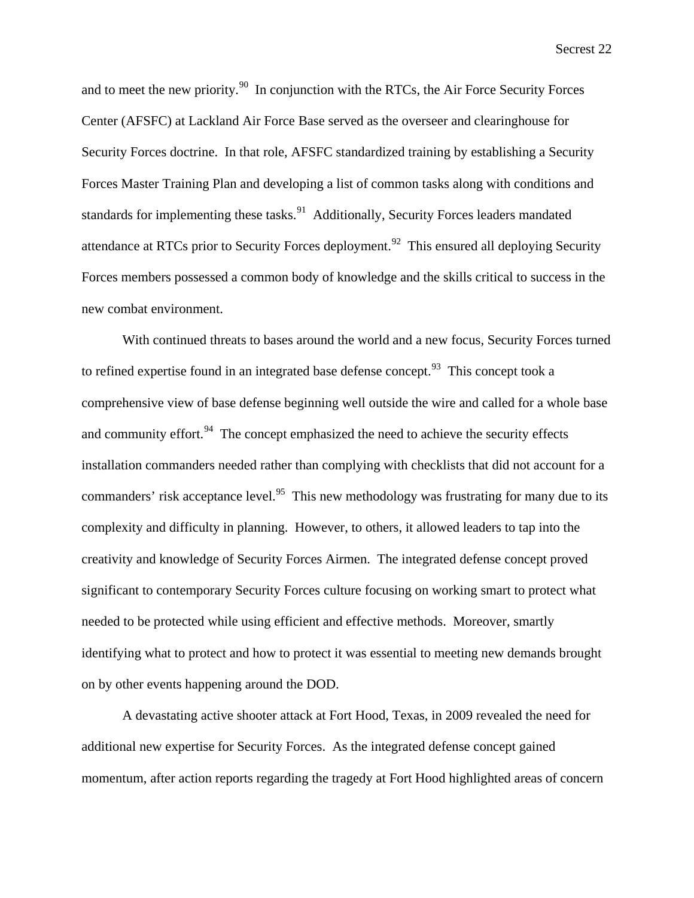and to meet the new priority.<sup>90</sup> In conjunction with the RTCs, the Air Force Security Forces Center (AFSFC) at Lackland Air Force Base served as the overseer and clearinghouse for Security Forces doctrine. In that role, AFSFC standardized training by establishing a Security Forces Master Training Plan and developing a list of common tasks along with conditions and standards for implementing these tasks.<sup>91</sup> Additionally, Security Forces leaders mandated attendance at RTCs prior to Security Forces deployment.<sup>92</sup> This ensured all deploying Security Forces members possessed a common body of knowledge and the skills critical to success in the new combat environment.

With continued threats to bases around the world and a new focus, Security Forces turned to refined expertise found in an integrated base defense concept.<sup>93</sup> This concept took a comprehensive view of base defense beginning well outside the wire and called for a whole base and community effort. $94$  The concept emphasized the need to achieve the security effects installation commanders needed rather than complying with checklists that did not account for a commanders' risk acceptance level.<sup>95</sup> This new methodology was frustrating for many due to its complexity and difficulty in planning. However, to others, it allowed leaders to tap into the creativity and knowledge of Security Forces Airmen. The integrated defense concept proved significant to contemporary Security Forces culture focusing on working smart to protect what needed to be protected while using efficient and effective methods. Moreover, smartly identifying what to protect and how to protect it was essential to meeting new demands brought on by other events happening around the DOD.

A devastating active shooter attack at Fort Hood, Texas, in 2009 revealed the need for additional new expertise for Security Forces. As the integrated defense concept gained momentum, after action reports regarding the tragedy at Fort Hood highlighted areas of concern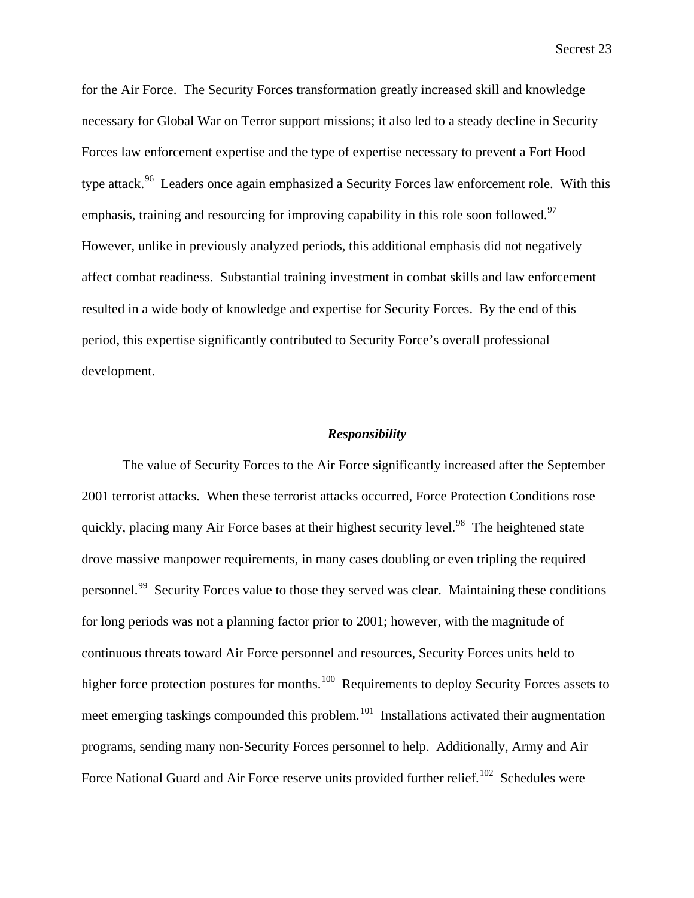for the Air Force. The Security Forces transformation greatly increased skill and knowledge necessary for Global War on Terror support missions; it also led to a steady decline in Security Forces law enforcement expertise and the type of expertise necessary to prevent a Fort Hood type attack.<sup>96</sup> Leaders once again emphasized a Security Forces law enforcement role. With this emphasis, training and resourcing for improving capability in this role soon followed.<sup>97</sup> However, unlike in previously analyzed periods, this additional emphasis did not negatively affect combat readiness. Substantial training investment in combat skills and law enforcement resulted in a wide body of knowledge and expertise for Security Forces. By the end of this period, this expertise significantly contributed to Security Force's overall professional development.

#### *Responsibility*

The value of Security Forces to the Air Force significantly increased after the September 2001 terrorist attacks. When these terrorist attacks occurred, Force Protection Conditions rose quickly, placing many Air Force bases at their highest security level.<sup>98</sup> The heightened state drove massive manpower requirements, in many cases doubling or even tripling the required personnel.<sup>99</sup> Security Forces value to those they served was clear. Maintaining these conditions for long periods was not a planning factor prior to 2001; however, with the magnitude of continuous threats toward Air Force personnel and resources, Security Forces units held to higher force protection postures for months.<sup>100</sup> Requirements to deploy Security Forces assets to meet emerging taskings compounded this problem.<sup>101</sup> Installations activated their augmentation programs, sending many non-Security Forces personnel to help. Additionally, Army and Air Force National Guard and Air Force reserve units provided further relief.<sup>102</sup> Schedules were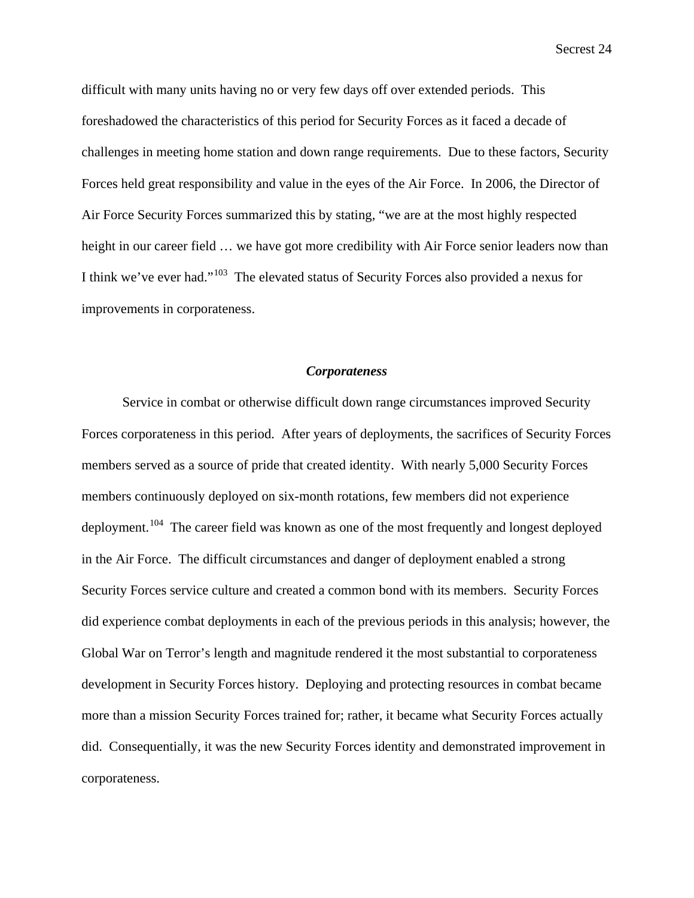difficult with many units having no or very few days off over extended periods. This foreshadowed the characteristics of this period for Security Forces as it faced a decade of challenges in meeting home station and down range requirements. Due to these factors, Security Forces held great responsibility and value in the eyes of the Air Force. In 2006, the Director of Air Force Security Forces summarized this by stating, "we are at the most highly respected height in our career field  $\ldots$  we have got more credibility with Air Force senior leaders now than I think we've ever had."103 The elevated status of Security Forces also provided a nexus for improvements in corporateness.

#### *Corporateness*

Service in combat or otherwise difficult down range circumstances improved Security Forces corporateness in this period. After years of deployments, the sacrifices of Security Forces members served as a source of pride that created identity. With nearly 5,000 Security Forces members continuously deployed on six-month rotations, few members did not experience deployment.<sup>104</sup> The career field was known as one of the most frequently and longest deployed in the Air Force. The difficult circumstances and danger of deployment enabled a strong Security Forces service culture and created a common bond with its members. Security Forces did experience combat deployments in each of the previous periods in this analysis; however, the Global War on Terror's length and magnitude rendered it the most substantial to corporateness development in Security Forces history. Deploying and protecting resources in combat became more than a mission Security Forces trained for; rather, it became what Security Forces actually did. Consequentially, it was the new Security Forces identity and demonstrated improvement in corporateness.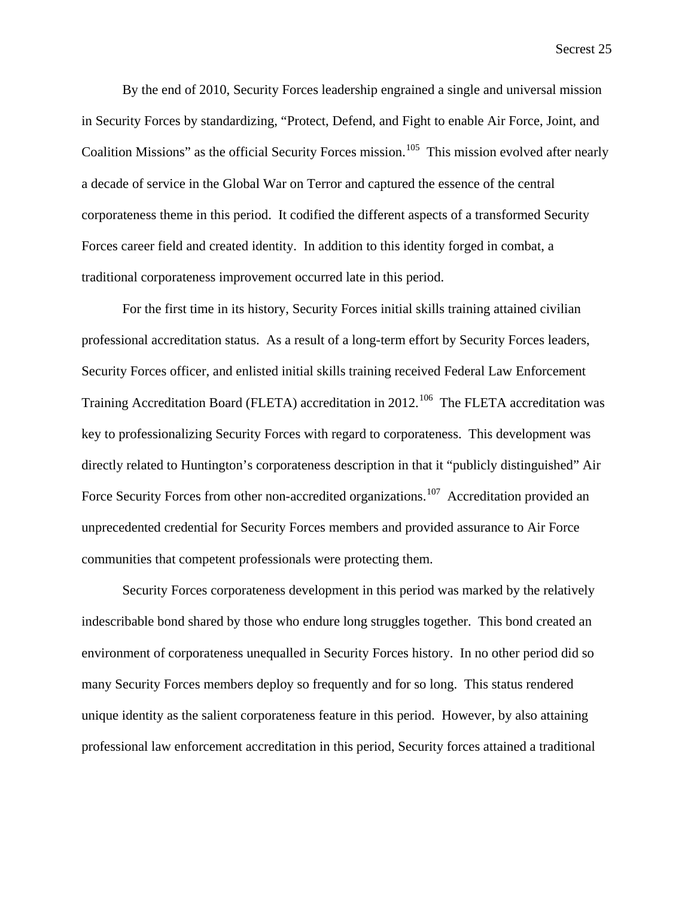By the end of 2010, Security Forces leadership engrained a single and universal mission in Security Forces by standardizing, "Protect, Defend, and Fight to enable Air Force, Joint, and Coalition Missions" as the official Security Forces mission.<sup>105</sup> This mission evolved after nearly a decade of service in the Global War on Terror and captured the essence of the central corporateness theme in this period. It codified the different aspects of a transformed Security Forces career field and created identity. In addition to this identity forged in combat, a traditional corporateness improvement occurred late in this period.

For the first time in its history, Security Forces initial skills training attained civilian professional accreditation status. As a result of a long-term effort by Security Forces leaders, Security Forces officer, and enlisted initial skills training received Federal Law Enforcement Training Accreditation Board (FLETA) accreditation in 2012.<sup>106</sup> The FLETA accreditation was key to professionalizing Security Forces with regard to corporateness. This development was directly related to Huntington's corporateness description in that it "publicly distinguished" Air Force Security Forces from other non-accredited organizations.<sup>107</sup> Accreditation provided an unprecedented credential for Security Forces members and provided assurance to Air Force communities that competent professionals were protecting them.

Security Forces corporateness development in this period was marked by the relatively indescribable bond shared by those who endure long struggles together. This bond created an environment of corporateness unequalled in Security Forces history. In no other period did so many Security Forces members deploy so frequently and for so long. This status rendered unique identity as the salient corporateness feature in this period. However, by also attaining professional law enforcement accreditation in this period, Security forces attained a traditional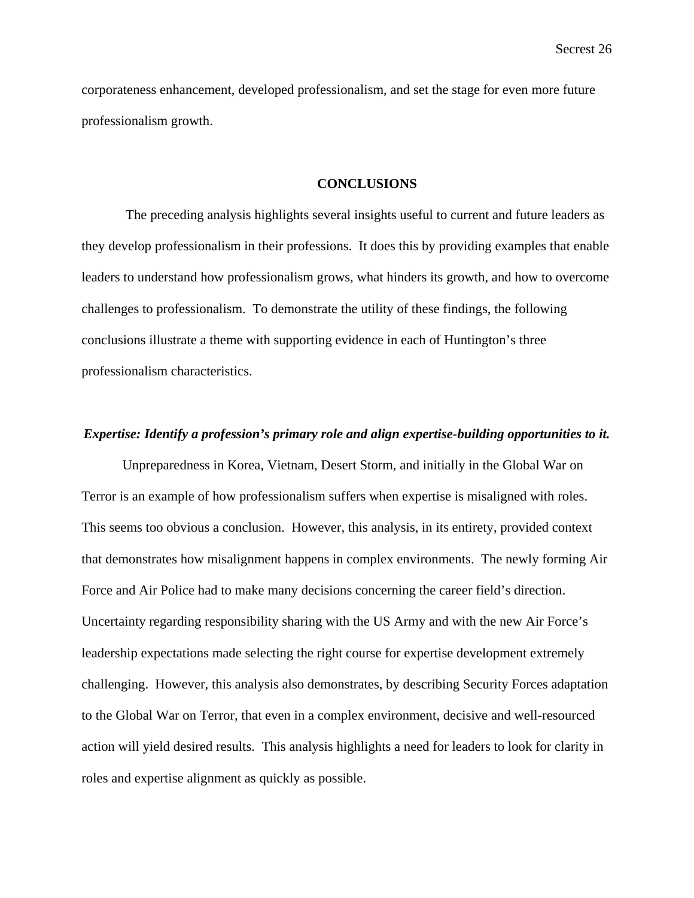corporateness enhancement, developed professionalism, and set the stage for even more future professionalism growth.

#### **CONCLUSIONS**

The preceding analysis highlights several insights useful to current and future leaders as they develop professionalism in their professions. It does this by providing examples that enable leaders to understand how professionalism grows, what hinders its growth, and how to overcome challenges to professionalism. To demonstrate the utility of these findings, the following conclusions illustrate a theme with supporting evidence in each of Huntington's three professionalism characteristics.

# *Expertise: Identify a profession's primary role and align expertise-building opportunities to it.*

Unpreparedness in Korea, Vietnam, Desert Storm, and initially in the Global War on Terror is an example of how professionalism suffers when expertise is misaligned with roles. This seems too obvious a conclusion. However, this analysis, in its entirety, provided context that demonstrates how misalignment happens in complex environments. The newly forming Air Force and Air Police had to make many decisions concerning the career field's direction. Uncertainty regarding responsibility sharing with the US Army and with the new Air Force's leadership expectations made selecting the right course for expertise development extremely challenging. However, this analysis also demonstrates, by describing Security Forces adaptation to the Global War on Terror, that even in a complex environment, decisive and well-resourced action will yield desired results. This analysis highlights a need for leaders to look for clarity in roles and expertise alignment as quickly as possible.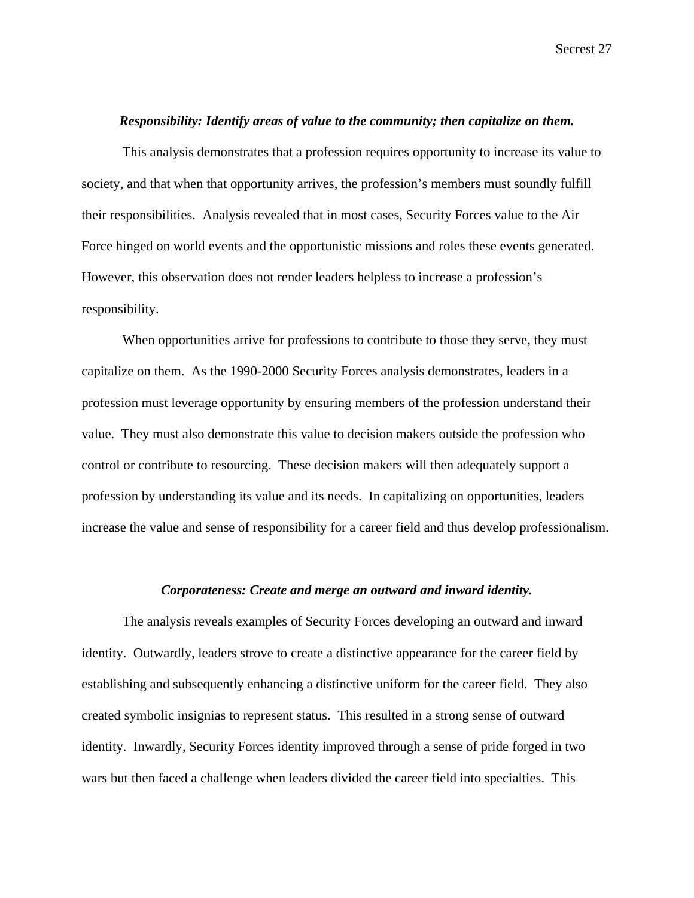# *Responsibility: Identify areas of value to the community; then capitalize on them.*

This analysis demonstrates that a profession requires opportunity to increase its value to society, and that when that opportunity arrives, the profession's members must soundly fulfill their responsibilities. Analysis revealed that in most cases, Security Forces value to the Air Force hinged on world events and the opportunistic missions and roles these events generated. However, this observation does not render leaders helpless to increase a profession's responsibility.

When opportunities arrive for professions to contribute to those they serve, they must capitalize on them. As the 1990-2000 Security Forces analysis demonstrates, leaders in a profession must leverage opportunity by ensuring members of the profession understand their value. They must also demonstrate this value to decision makers outside the profession who control or contribute to resourcing. These decision makers will then adequately support a profession by understanding its value and its needs. In capitalizing on opportunities, leaders increase the value and sense of responsibility for a career field and thus develop professionalism.

## *Corporateness: Create and merge an outward and inward identity.*

The analysis reveals examples of Security Forces developing an outward and inward identity. Outwardly, leaders strove to create a distinctive appearance for the career field by establishing and subsequently enhancing a distinctive uniform for the career field. They also created symbolic insignias to represent status. This resulted in a strong sense of outward identity. Inwardly, Security Forces identity improved through a sense of pride forged in two wars but then faced a challenge when leaders divided the career field into specialties. This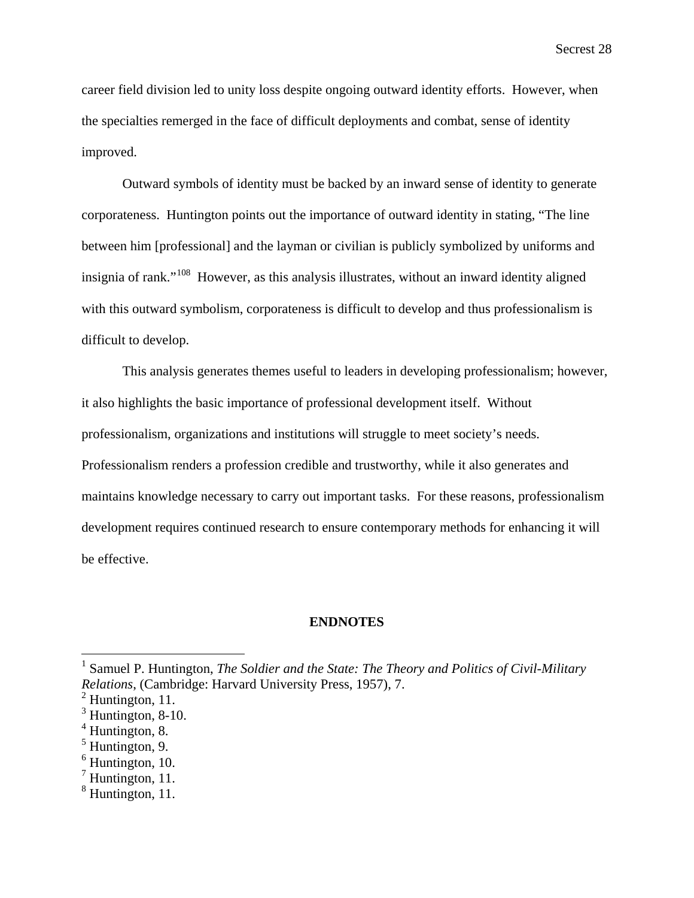career field division led to unity loss despite ongoing outward identity efforts. However, when the specialties remerged in the face of difficult deployments and combat, sense of identity improved.

Outward symbols of identity must be backed by an inward sense of identity to generate corporateness. Huntington points out the importance of outward identity in stating, "The line between him [professional] and the layman or civilian is publicly symbolized by uniforms and insignia of rank."<sup>108</sup> However, as this analysis illustrates, without an inward identity aligned with this outward symbolism, corporateness is difficult to develop and thus professionalism is difficult to develop.

This analysis generates themes useful to leaders in developing professionalism; however, it also highlights the basic importance of professional development itself. Without professionalism, organizations and institutions will struggle to meet society's needs. Professionalism renders a profession credible and trustworthy, while it also generates and maintains knowledge necessary to carry out important tasks. For these reasons, professionalism development requires continued research to ensure contemporary methods for enhancing it will be effective.

#### **ENDNOTES**

<sup>&</sup>lt;sup>1</sup> Samuel P. Huntington, *The Soldier and the State: The Theory and Politics of Civil-Military Relations*, (Cambridge: Harvard University Press, 1957), 7.

 $<sup>2</sup>$  Huntington, 11.</sup>

 $3$  Huntington, 8-10.

 $4$  Huntington, 8.

 $<sup>5</sup>$  Huntington, 9.</sup>

 $<sup>6</sup>$  Huntington, 10.</sup>

 $<sup>7</sup>$  Huntington, 11.</sup>

<sup>&</sup>lt;sup>8</sup> Huntington, 11.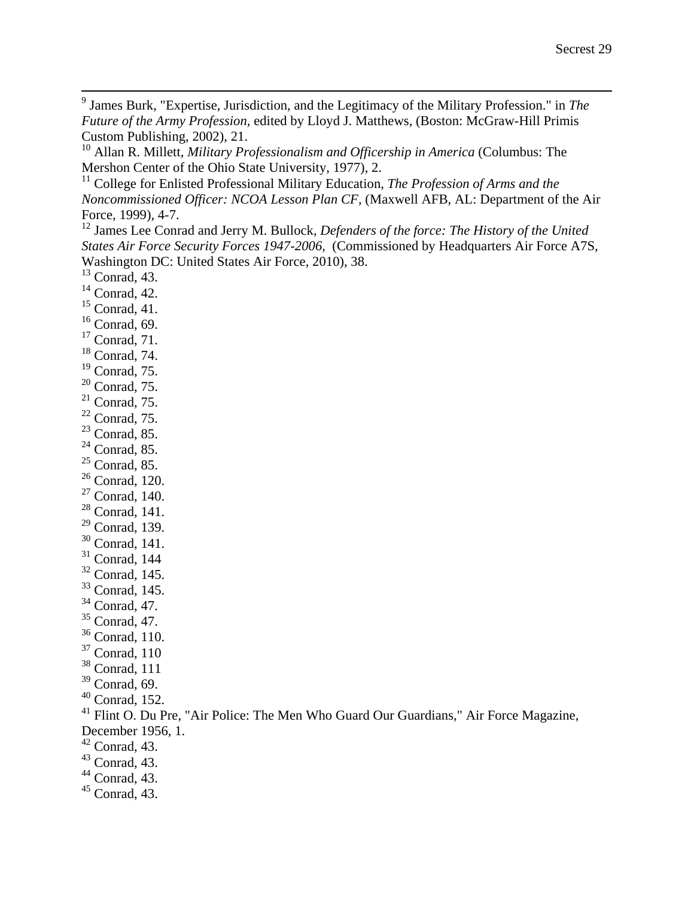James Burk, "Expertise, Jurisdiction, and the Legitimacy of the Military Profession." in *The Future of the Army Profession,* edited by Lloyd J. Matthews, (Boston: McGraw-Hill Primis Custom Publishing, 2002), 21.

 Allan R. Millett, *Military Professionalism and Officership in America* (Columbus: The Mershon Center of the Ohio State University, 1977), 2.

<sup>11</sup> College for Enlisted Professional Military Education, *The Profession of Arms and the Noncommissioned Officer: NCOA Lesson Plan CF,* (Maxwell AFB, AL: Department of the Air Force, 1999), 4-7.<br><sup>12</sup> James Lee Conrad and Jerry M. Bullock, *Defenders of the force: The History of the United* 

*States Air Force Security Forces 1947-2006,* (Commissioned by Headquarters Air Force A7S, Washington DC: United States Air Force, 2010), 38.

- Conrad, 43.
- Conrad, 42.
- Conrad, 41.
- Conrad, 69.
- Conrad, 71.
- Conrad, 74.
- Conrad, 75.
- Conrad, 75.
- Conrad, 75.
- Conrad, 75.
- Conrad, 85.
- Conrad, 85.
- Conrad, 85.
- Conrad, 120.
- Conrad, 140.
- Conrad, 141.
- Conrad, 139.
- Conrad, 141.
- Conrad, 144
- Conrad, 145.
- Conrad, 145.
- Conrad, 47.
- Conrad, 47.
- Conrad, 110.
- Conrad, 110
- Conrad, 111
- Conrad, 69.
- Conrad, 152.
- <sup>41</sup> Flint O. Du Pre, "Air Police: The Men Who Guard Our Guardians," Air Force Magazine,
- December 1956, 1.
- Conrad, 43.
- Conrad, 43.
- Conrad, 43.
- Conrad, 43.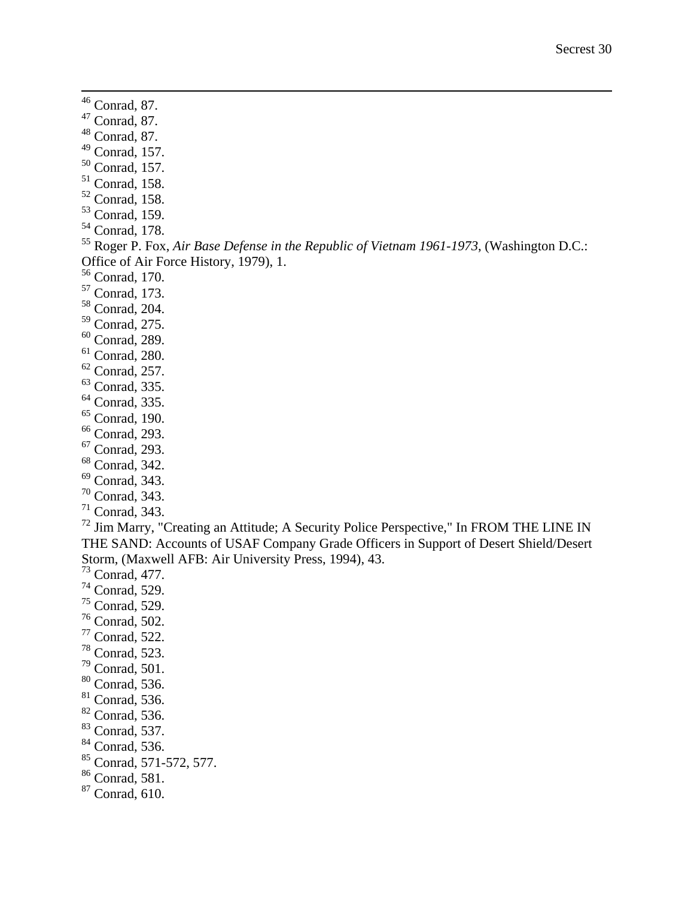Conrad, 87.

- Conrad, 87.
- Conrad, 87.
- Conrad, 157.
- Conrad, 157.
- Conrad, 158.
- Conrad, 158.
- <sup>53</sup> Conrad, 159.
- Conrad, 178.

 Roger P. Fox, *Air Base Defense in the Republic of Vietnam 1961-1973*, (Washington D.C.: Office of Air Force History, 1979), 1.

Conrad, 170.

- Conrad, 173.
- Conrad, 204.
- Conrad, 275.
- Conrad, 289.
- Conrad, 280.
- Conrad, 257.
- Conrad, 335.
- Conrad, 335.
- Conrad, 190.
- Conrad, 293.
- Conrad, 293.
- Conrad, 342.
- Conrad, 343.
- Conrad, 343.
- Conrad, 343.

<sup>72</sup> Jim Marry, "Creating an Attitude; A Security Police Perspective," In FROM THE LINE IN THE SAND: Accounts of USAF Company Grade Officers in Support of Desert Shield/Desert Storm, (Maxwell AFB: Air University Press, 1994), 43.

Conrad, 477.

- Conrad, 529.
- Conrad, 529.
- Conrad, 502.
- Conrad, 522.
- Conrad, 523.
- Conrad, 501.
- Conrad, 536.
- Conrad, 536.
- Conrad, 536.
- Conrad, 537.
- Conrad, 536.
- Conrad, 571-572, 577.
- Conrad, 581.
- 
- Conrad, 610.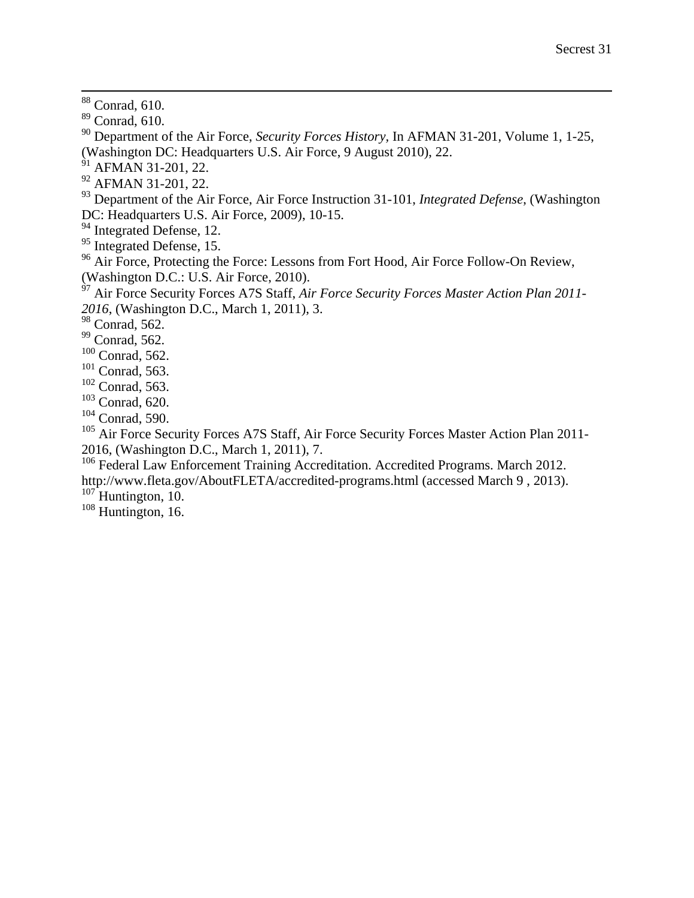88 Conrad, 610.

<sup>90</sup> Department of the Air Force, *Security Forces History,* In AFMAN 31-201, Volume 1, 1-25, (Washington DC: Headquarters U.S. Air Force, 9 August 2010), 22.

- $91$  AFMAN 31-201, 22.
- <sup>92</sup> AFMAN 31-201, 22.

<sup>93</sup> Department of the Air Force, Air Force Instruction 31-101, *Integrated Defense*, (Washington DC: Headquarters U.S. Air Force, 2009), 10-15.

<sup>94</sup> Integrated Defense, 12.

<sup>95</sup> Integrated Defense, 15.

<sup>96</sup> Air Force, Protecting the Force: Lessons from Fort Hood, Air Force Follow-On Review, (Washington D.C.: U.S. Air Force, 2010).

<sup>97</sup> Air Force Security Forces A7S Staff, *Air Force Security Forces Master Action Plan 2011- 2016*, (Washington D.C., March 1, 2011), 3.

<sup>98</sup> Conrad, 562.

- <sup>99</sup> Conrad, 562.
- $100$  Conrad, 562.
- $101$  Conrad, 563.
- <sup>102</sup> Conrad, 563.
- <sup>103</sup> Conrad, 620.
- <sup>104</sup> Conrad, 590.

<sup>105</sup> Air Force Security Forces A7S Staff, Air Force Security Forces Master Action Plan 2011-2016, (Washington D.C., March 1, 2011), 7.

<sup>106</sup> Federal Law Enforcement Training Accreditation. Accredited Programs. March 2012. http://www.fleta.gov/AboutFLETA/accredited-programs.html (accessed March 9 , 2013).  $107$  Huntington, 10.

 $108$  Huntington, 16.

<sup>89</sup> Conrad, 610.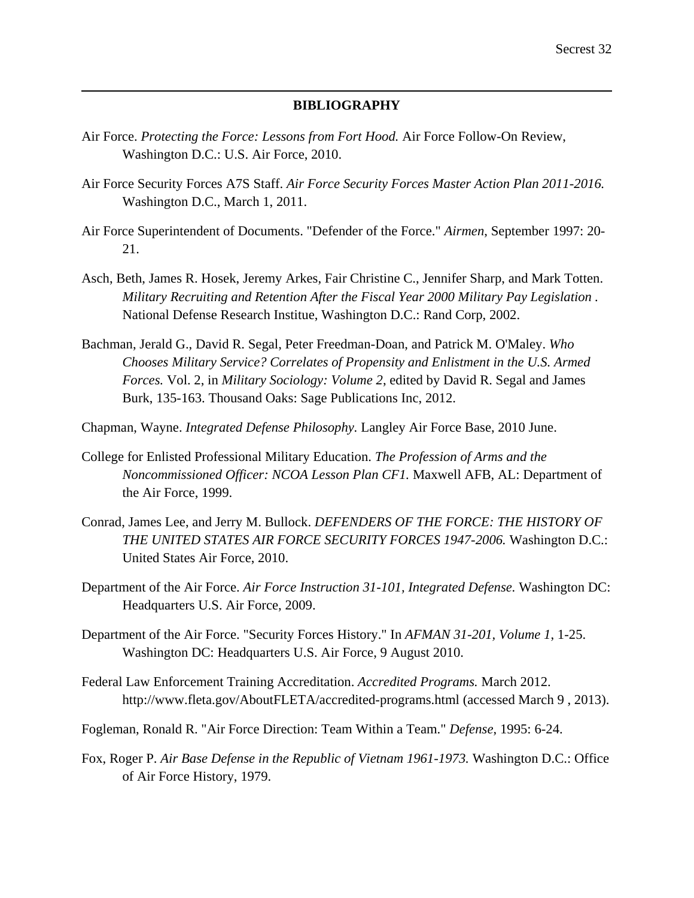# **BIBLIOGRAPHY**

Air Force. *Protecting the Force: Lessons from Fort Hood.* Air Force Follow-On Review, Washington D.C.: U.S. Air Force, 2010.

 $\overline{a}$ 

- Air Force Security Forces A7S Staff. *Air Force Security Forces Master Action Plan 2011-2016.* Washington D.C., March 1, 2011.
- Air Force Superintendent of Documents. "Defender of the Force." *Airmen*, September 1997: 20- 21.
- Asch, Beth, James R. Hosek, Jeremy Arkes, Fair Christine C., Jennifer Sharp, and Mark Totten. *Military Recruiting and Retention After the Fiscal Year 2000 Military Pay Legislation .* National Defense Research Institue, Washington D.C.: Rand Corp, 2002.
- Bachman, Jerald G., David R. Segal, Peter Freedman-Doan, and Patrick M. O'Maley. *Who Chooses Military Service? Correlates of Propensity and Enlistment in the U.S. Armed Forces.* Vol. 2, in *Military Sociology: Volume 2*, edited by David R. Segal and James Burk, 135-163. Thousand Oaks: Sage Publications Inc, 2012.
- Chapman, Wayne. *Integrated Defense Philosophy.* Langley Air Force Base, 2010 June.
- College for Enlisted Professional Military Education. *The Profession of Arms and the Noncommissioned Officer: NCOA Lesson Plan CF1.* Maxwell AFB, AL: Department of the Air Force, 1999.
- Conrad, James Lee, and Jerry M. Bullock. *DEFENDERS OF THE FORCE: THE HISTORY OF THE UNITED STATES AIR FORCE SECURITY FORCES 1947-2006.* Washington D.C.: United States Air Force, 2010.
- Department of the Air Force. *Air Force Instruction 31-101, Integrated Defense.* Washington DC: Headquarters U.S. Air Force, 2009.
- Department of the Air Force. "Security Forces History." In *AFMAN 31-201, Volume 1*, 1-25. Washington DC: Headquarters U.S. Air Force, 9 August 2010.
- Federal Law Enforcement Training Accreditation. *Accredited Programs.* March 2012. http://www.fleta.gov/AboutFLETA/accredited-programs.html (accessed March 9 , 2013).
- Fogleman, Ronald R. "Air Force Direction: Team Within a Team." *Defense*, 1995: 6-24.
- Fox, Roger P. *Air Base Defense in the Republic of Vietnam 1961-1973.* Washington D.C.: Office of Air Force History, 1979.